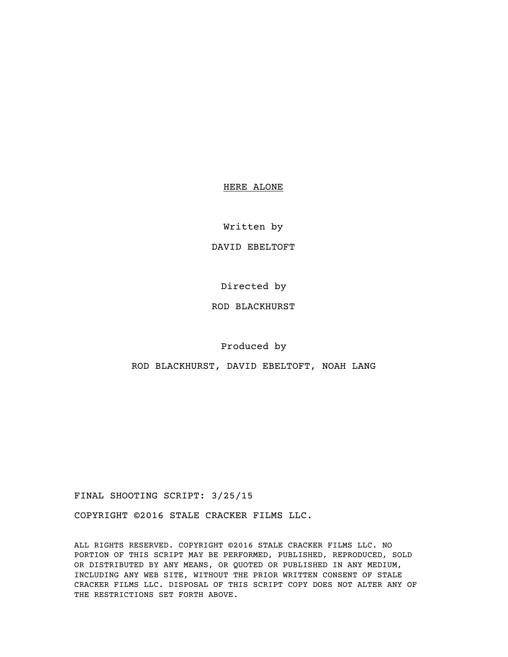# HERE ALONE

Written by

# DAVID EBELTOFT

Directed by

# ROD BLACKHURST

Produced by

ROD BLACKHURST, DAVID EBELTOFT, NOAH LANG

FINAL SHOOTING SCRIPT: 3/25/15

COPYRIGHT ©2016 STALE CRACKER FILMS LLC.

ALL RIGHTS RESERVED. COPYRIGHT ©2016 STALE CRACKER FILMS LLC. NO PORTION OF THIS SCRIPT MAY BE PERFORMED, PUBLISHED, REPRODUCED, SOLD OR DISTRIBUTED BY ANY MEANS, OR QUOTED OR PUBLISHED IN ANY MEDIUM, INCLUDING ANY WEB SITE, WITHOUT THE PRIOR WRITTEN CONSENT OF STALE CRACKER FILMS LLC. DISPOSAL OF THIS SCRIPT COPY DOES NOT ALTER ANY OF THE RESTRICTIONS SET FORTH ABOVE.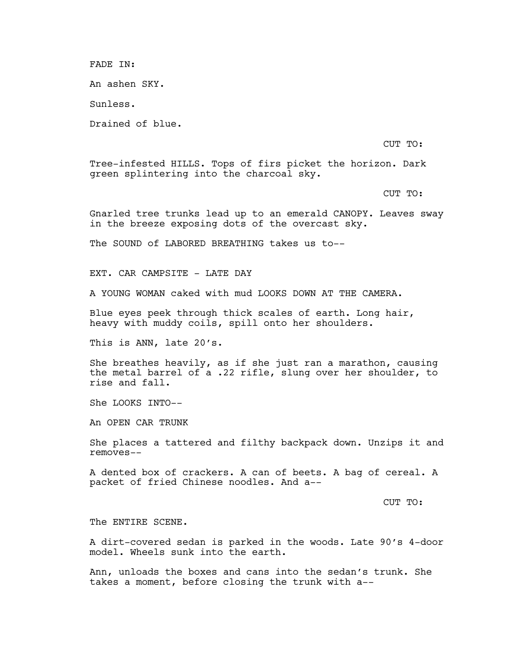FADE IN:

An ashen SKY.

Sunless.

Drained of blue.

CUT TO:

Tree-infested HILLS. Tops of firs picket the horizon. Dark green splintering into the charcoal sky.

CUT TO:

Gnarled tree trunks lead up to an emerald CANOPY. Leaves sway in the breeze exposing dots of the overcast sky.

The SOUND of LABORED BREATHING takes us to--

EXT. CAR CAMPSITE - LATE DAY

A YOUNG WOMAN caked with mud LOOKS DOWN AT THE CAMERA.

Blue eyes peek through thick scales of earth. Long hair, heavy with muddy coils, spill onto her shoulders.

This is ANN, late 20's.

She breathes heavily, as if she just ran a marathon, causing the metal barrel of a .22 rifle, slung over her shoulder, to rise and fall.

She LOOKS INTO--

An OPEN CAR TRUNK

She places a tattered and filthy backpack down. Unzips it and removes--

A dented box of crackers. A can of beets. A bag of cereal. A packet of fried Chinese noodles. And a--

CUT TO:

The ENTIRE SCENE.

A dirt-covered sedan is parked in the woods. Late 90's 4-door model. Wheels sunk into the earth.

Ann, unloads the boxes and cans into the sedan's trunk. She takes a moment, before closing the trunk with a--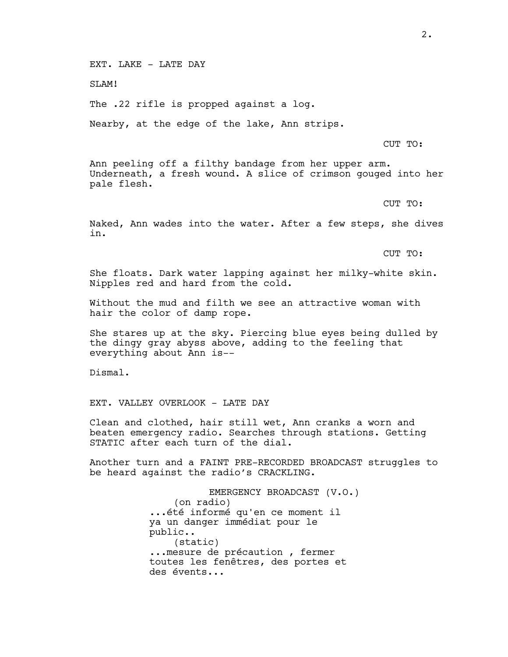EXT. LAKE - LATE DAY

ST, AM!

The .22 rifle is propped against a log.

Nearby, at the edge of the lake, Ann strips.

CUT TO:

Ann peeling off a filthy bandage from her upper arm. Underneath, a fresh wound. A slice of crimson gouged into her pale flesh.

CUT TO:

Naked, Ann wades into the water. After a few steps, she dives in.

CUT TO:

She floats. Dark water lapping against her milky-white skin. Nipples red and hard from the cold.

Without the mud and filth we see an attractive woman with hair the color of damp rope.

She stares up at the sky. Piercing blue eyes being dulled by the dingy gray abyss above, adding to the feeling that everything about Ann is--

Dismal.

EXT. VALLEY OVERLOOK - LATE DAY

Clean and clothed, hair still wet, Ann cranks a worn and beaten emergency radio. Searches through stations. Getting STATIC after each turn of the dial.

Another turn and a FAINT PRE-RECORDED BROADCAST struggles to be heard against the radio's CRACKLING.

> EMERGENCY BROADCAST (V.O.) (on radio) ...été informé qu'en ce moment il ya un danger immédiat pour le public.. (static) ...mesure de précaution , fermer toutes les fenêtres, des portes et des évents...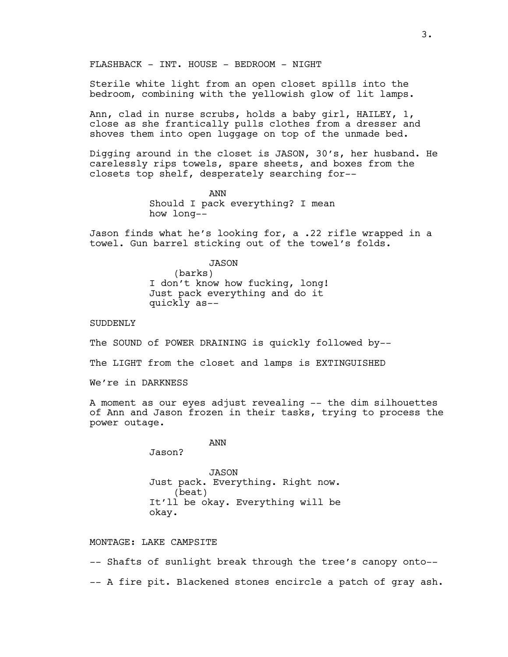FLASHBACK - INT. HOUSE - BEDROOM - NIGHT

Sterile white light from an open closet spills into the bedroom, combining with the yellowish glow of lit lamps.

Ann, clad in nurse scrubs, holds a baby girl, HAILEY, 1, close as she frantically pulls clothes from a dresser and shoves them into open luggage on top of the unmade bed.

Digging around in the closet is JASON, 30's, her husband. He carelessly rips towels, spare sheets, and boxes from the closets top shelf, desperately searching for--

> ANN Should I pack everything? I mean how long--

Jason finds what he's looking for, a .22 rifle wrapped in a towel. Gun barrel sticking out of the towel's folds.

## JASON

(barks) I don't know how fucking, long! Just pack everything and do it quickly as--

## SUDDENLY

The SOUND of POWER DRAINING is quickly followed by--

The LIGHT from the closet and lamps is EXTINGUISHED

We're in DARKNESS

A moment as our eyes adjust revealing -- the dim silhouettes of Ann and Jason frozen in their tasks, trying to process the power outage.

ANN

Jason?

JASON Just pack. Everything. Right now. (beat) It'll be okay. Everything will be okay.

### MONTAGE: LAKE CAMPSITE

-- Shafts of sunlight break through the tree's canopy onto--

-- A fire pit. Blackened stones encircle a patch of gray ash.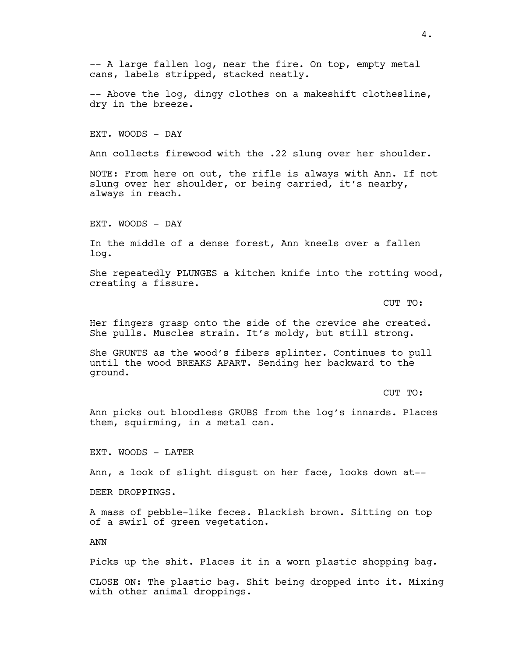-- A large fallen log, near the fire. On top, empty metal cans, labels stripped, stacked neatly. -- Above the log, dingy clothes on a makeshift clothesline, dry in the breeze. EXT. WOODS - DAY Ann collects firewood with the .22 slung over her shoulder. NOTE: From here on out, the rifle is always with Ann. If not slung over her shoulder, or being carried, it's nearby, always in reach. EXT. WOODS - DAY In the middle of a dense forest, Ann kneels over a fallen log. She repeatedly PLUNGES a kitchen knife into the rotting wood, creating a fissure. CUT TO: Her fingers grasp onto the side of the crevice she created. She pulls. Muscles strain. It's moldy, but still strong. She GRUNTS as the wood's fibers splinter. Continues to pull until the wood BREAKS APART. Sending her backward to the ground. CUT TO: Ann picks out bloodless GRUBS from the log's innards. Places them, squirming, in a metal can. EXT. WOODS - LATER Ann, a look of slight disgust on her face, looks down at-- DEER DROPPINGS. A mass of pebble-like feces. Blackish brown. Sitting on top of a swirl of green vegetation. ANN Picks up the shit. Places it in a worn plastic shopping bag.

CLOSE ON: The plastic bag. Shit being dropped into it. Mixing with other animal droppings.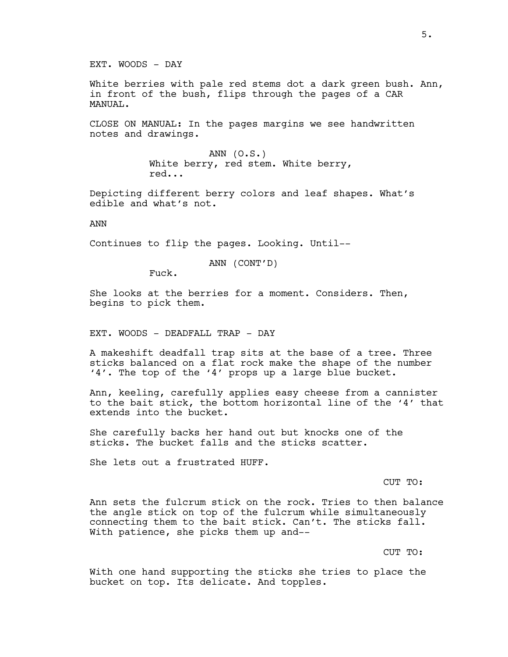EXT. WOODS - DAY

White berries with pale red stems dot a dark green bush. Ann, in front of the bush, flips through the pages of a CAR MANUAL.

CLOSE ON MANUAL: In the pages margins we see handwritten notes and drawings.

> ANN  $(0.S.)$ White berry, red stem. White berry, red...

Depicting different berry colors and leaf shapes. What's edible and what's not.

ANN

Continues to flip the pages. Looking. Until--

ANN (CONT'D)

Fuck.

She looks at the berries for a moment. Considers. Then, begins to pick them.

EXT. WOODS - DEADFALL TRAP - DAY

A makeshift deadfall trap sits at the base of a tree. Three sticks balanced on a flat rock make the shape of the number '4'. The top of the '4' props up a large blue bucket.

Ann, keeling, carefully applies easy cheese from a cannister to the bait stick, the bottom horizontal line of the '4' that extends into the bucket.

She carefully backs her hand out but knocks one of the sticks. The bucket falls and the sticks scatter.

She lets out a frustrated HUFF.

#### CUT TO:

Ann sets the fulcrum stick on the rock. Tries to then balance the angle stick on top of the fulcrum while simultaneously connecting them to the bait stick. Can't. The sticks fall. With patience, she picks them up and--

CUT TO:

With one hand supporting the sticks she tries to place the bucket on top. Its delicate. And topples.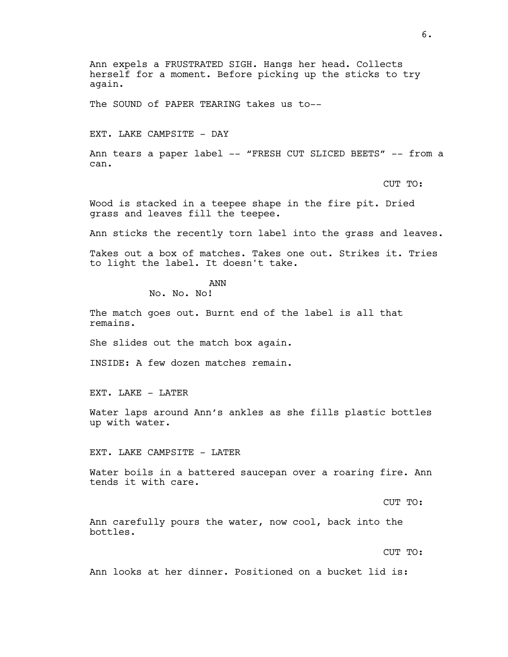Ann expels a FRUSTRATED SIGH. Hangs her head. Collects herself for a moment. Before picking up the sticks to try again.

The SOUND of PAPER TEARING takes us to--

EXT. LAKE CAMPSITE - DAY

Ann tears a paper label -- "FRESH CUT SLICED BEETS" -- from a can.

CUT TO:

Wood is stacked in a teepee shape in the fire pit. Dried grass and leaves fill the teepee.

Ann sticks the recently torn label into the grass and leaves.

Takes out a box of matches. Takes one out. Strikes it. Tries to light the label. It doesn't take.

ANN

No. No. No!

The match goes out. Burnt end of the label is all that remains.

She slides out the match box again.

INSIDE: A few dozen matches remain.

EXT. LAKE - LATER

Water laps around Ann's ankles as she fills plastic bottles up with water.

EXT. LAKE CAMPSITE - LATER

Water boils in a battered saucepan over a roaring fire. Ann tends it with care.

CUT TO:

Ann carefully pours the water, now cool, back into the bottles.

CUT TO:

Ann looks at her dinner. Positioned on a bucket lid is: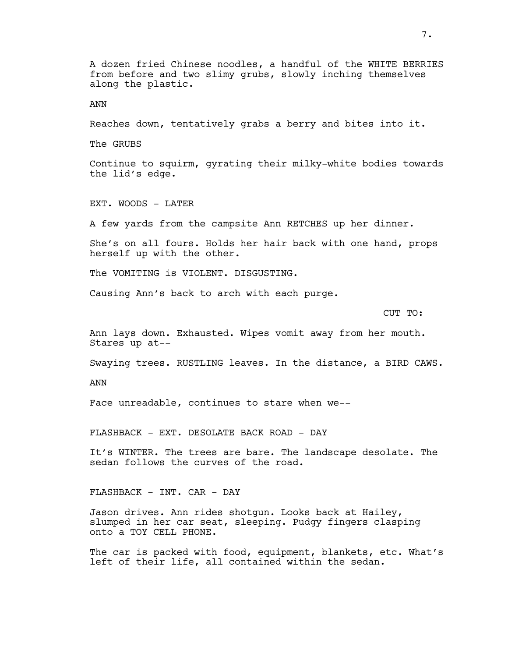A dozen fried Chinese noodles, a handful of the WHITE BERRIES from before and two slimy grubs, slowly inching themselves along the plastic. ANN Reaches down, tentatively grabs a berry and bites into it. The GRUBS Continue to squirm, gyrating their milky-white bodies towards the lid's edge. EXT. WOODS - LATER A few yards from the campsite Ann RETCHES up her dinner. She's on all fours. Holds her hair back with one hand, props herself up with the other. The VOMITING is VIOLENT. DISGUSTING. Causing Ann's back to arch with each purge. CUT TO: Ann lays down. Exhausted. Wipes vomit away from her mouth. Stares up at-- Swaying trees. RUSTLING leaves. In the distance, a BIRD CAWS. ANN Face unreadable, continues to stare when we-- FLASHBACK - EXT. DESOLATE BACK ROAD - DAY It's WINTER. The trees are bare. The landscape desolate. The sedan follows the curves of the road. FLASHBACK - INT. CAR - DAY Jason drives. Ann rides shotgun. Looks back at Hailey, slumped in her car seat, sleeping. Pudgy fingers clasping onto a TOY CELL PHONE. The car is packed with food, equipment, blankets, etc. What's

7.

left of their life, all contained within the sedan.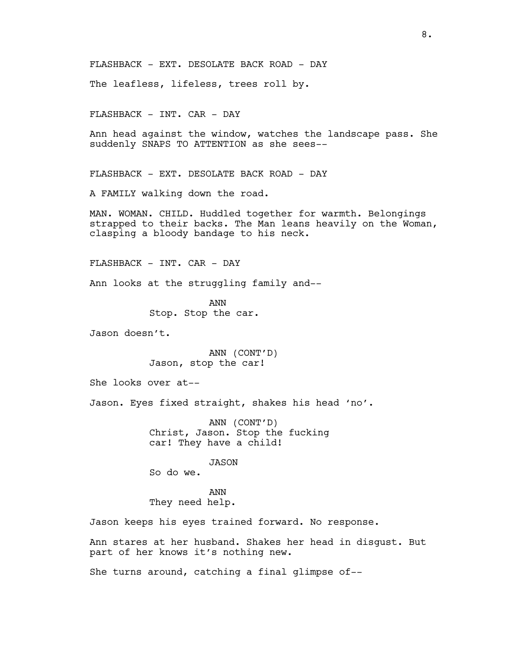FLASHBACK - EXT. DESOLATE BACK ROAD - DAY

The leafless, lifeless, trees roll by.

FLASHBACK - INT. CAR - DAY

Ann head against the window, watches the landscape pass. She suddenly SNAPS TO ATTENTION as she sees--

FLASHBACK - EXT. DESOLATE BACK ROAD - DAY

A FAMILY walking down the road.

MAN. WOMAN. CHILD. Huddled together for warmth. Belongings strapped to their backs. The Man leans heavily on the Woman, clasping a bloody bandage to his neck.

FLASHBACK - INT. CAR - DAY

Ann looks at the struggling family and--

ANN Stop. Stop the car.

Jason doesn't.

ANN (CONT'D) Jason, stop the car!

She looks over at--

Jason. Eyes fixed straight, shakes his head 'no'.

ANN (CONT'D) Christ, Jason. Stop the fucking car! They have a child!

JASON

So do we.

ANN They need help.

Jason keeps his eyes trained forward. No response.

Ann stares at her husband. Shakes her head in disgust. But part of her knows it's nothing new.

She turns around, catching a final glimpse of--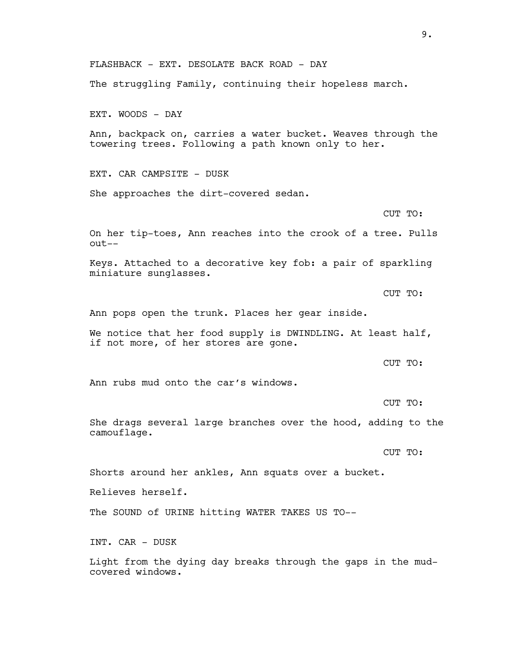FLASHBACK - EXT. DESOLATE BACK ROAD - DAY The struggling Family, continuing their hopeless march. EXT. WOODS - DAY Ann, backpack on, carries a water bucket. Weaves through the towering trees. Following a path known only to her. EXT. CAR CAMPSITE - DUSK She approaches the dirt-covered sedan. CUT TO: On her tip-toes, Ann reaches into the crook of a tree. Pulls out-- Keys. Attached to a decorative key fob: a pair of sparkling miniature sunglasses. CUT TO: Ann pops open the trunk. Places her gear inside. We notice that her food supply is DWINDLING. At least half, if not more, of her stores are gone. CUT TO: Ann rubs mud onto the car's windows. CUT TO: She drags several large branches over the hood, adding to the camouflage. CUT TO: Shorts around her ankles, Ann squats over a bucket. Relieves herself. The SOUND of URINE hitting WATER TAKES US TO-- INT. CAR - DUSK Light from the dying day breaks through the gaps in the mud-

covered windows.

9.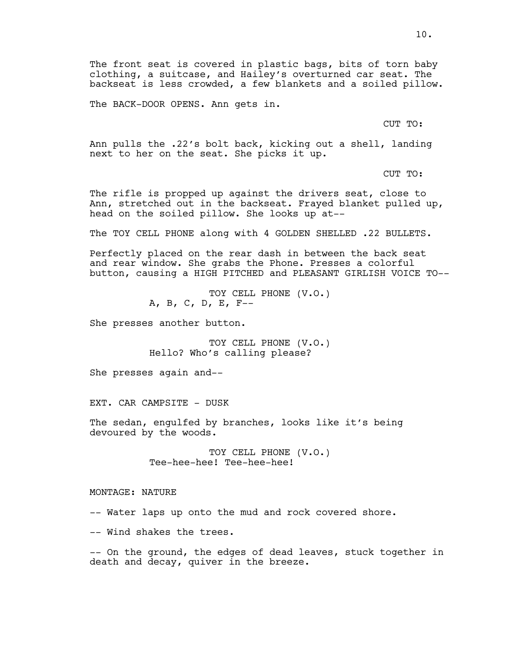The front seat is covered in plastic bags, bits of torn baby clothing, a suitcase, and Hailey's overturned car seat. The backseat is less crowded, a few blankets and a soiled pillow.

The BACK-DOOR OPENS. Ann gets in.

CUT TO:

Ann pulls the .22's bolt back, kicking out a shell, landing next to her on the seat. She picks it up.

CUT TO:

The rifle is propped up against the drivers seat, close to Ann, stretched out in the backseat. Frayed blanket pulled up, head on the soiled pillow. She looks up at--

The TOY CELL PHONE along with 4 GOLDEN SHELLED .22 BULLETS.

Perfectly placed on the rear dash in between the back seat and rear window. She grabs the Phone. Presses a colorful button, causing a HIGH PITCHED and PLEASANT GIRLISH VOICE TO--

> TOY CELL PHONE (V.O.) A, B, C, D, E, F--

She presses another button.

TOY CELL PHONE (V.O.) Hello? Who's calling please?

She presses again and--

EXT. CAR CAMPSITE - DUSK

The sedan, engulfed by branches, looks like it's being devoured by the woods.

> TOY CELL PHONE (V.O.) Tee-hee-hee! Tee-hee-hee!

### MONTAGE: NATURE

-- Water laps up onto the mud and rock covered shore.

-- Wind shakes the trees.

-- On the ground, the edges of dead leaves, stuck together in death and decay, quiver in the breeze.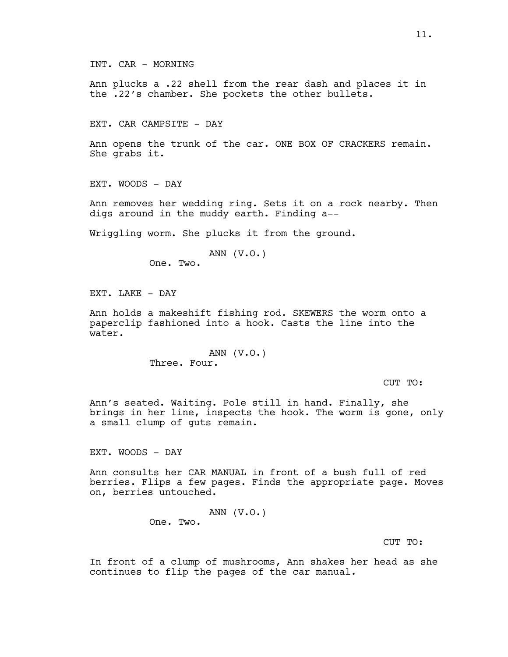Ann plucks a .22 shell from the rear dash and places it in the .22's chamber. She pockets the other bullets.

EXT. CAR CAMPSITE - DAY

Ann opens the trunk of the car. ONE BOX OF CRACKERS remain. She grabs it.

EXT. WOODS - DAY

Ann removes her wedding ring. Sets it on a rock nearby. Then digs around in the muddy earth. Finding a--

Wriggling worm. She plucks it from the ground.

```
ANN (V.O.)
```
One. Two.

EXT. LAKE - DAY

Ann holds a makeshift fishing rod. SKEWERS the worm onto a paperclip fashioned into a hook. Casts the line into the water.

> ANN (V.O.) Three. Four.

> > CUT TO:

Ann's seated. Waiting. Pole still in hand. Finally, she brings in her line, inspects the hook. The worm is gone, only a small clump of guts remain.

EXT. WOODS - DAY

Ann consults her CAR MANUAL in front of a bush full of red berries. Flips a few pages. Finds the appropriate page. Moves on, berries untouched.

> ANN (V.O.) One. Two.

> > CUT TO:

In front of a clump of mushrooms, Ann shakes her head as she continues to flip the pages of the car manual.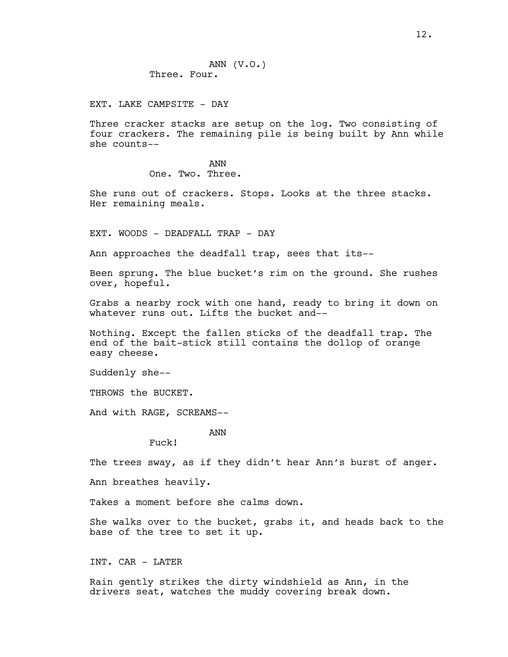ANN (V.O.) Three. Four.

EXT. LAKE CAMPSITE - DAY

Three cracker stacks are setup on the log. Two consisting of four crackers. The remaining pile is being built by Ann while she counts--

> ANN One. Two. Three.

She runs out of crackers. Stops. Looks at the three stacks. Her remaining meals.

EXT. WOODS - DEADFALL TRAP - DAY

Ann approaches the deadfall trap, sees that its--

Been sprung. The blue bucket's rim on the ground. She rushes over, hopeful.

Grabs a nearby rock with one hand, ready to bring it down on whatever runs out. Lifts the bucket and--

Nothing. Except the fallen sticks of the deadfall trap. The end of the bait-stick still contains the dollop of orange easy cheese.

Suddenly she--

THROWS the BUCKET.

And with RAGE, SCREAMS--

ANN

Fuck!

The trees sway, as if they didn't hear Ann's burst of anger.

Ann breathes heavily.

Takes a moment before she calms down.

She walks over to the bucket, grabs it, and heads back to the base of the tree to set it up.

INT. CAR - LATER

Rain gently strikes the dirty windshield as Ann, in the drivers seat, watches the muddy covering break down.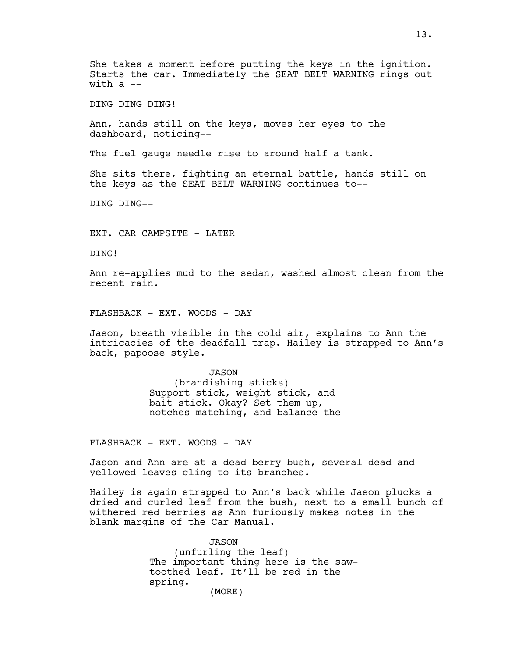She takes a moment before putting the keys in the ignition. Starts the car. Immediately the SEAT BELT WARNING rings out with  $a$   $-$ 

DING DING DING!

Ann, hands still on the keys, moves her eyes to the dashboard, noticing--

The fuel gauge needle rise to around half a tank.

She sits there, fighting an eternal battle, hands still on the keys as the SEAT BELT WARNING continues to--

DING DING--

EXT. CAR CAMPSITE - LATER

DING!

Ann re-applies mud to the sedan, washed almost clean from the recent rain.

FLASHBACK - EXT. WOODS - DAY

Jason, breath visible in the cold air, explains to Ann the intricacies of the deadfall trap. Hailey is strapped to Ann's back, papoose style.

> JASON (brandishing sticks) Support stick, weight stick, and bait stick. Okay? Set them up, notches matching, and balance the--

FLASHBACK - EXT. WOODS - DAY

Jason and Ann are at a dead berry bush, several dead and yellowed leaves cling to its branches.

Hailey is again strapped to Ann's back while Jason plucks a dried and curled leaf from the bush, next to a small bunch of withered red berries as Ann furiously makes notes in the blank margins of the Car Manual.

> JASON (unfurling the leaf) The important thing here is the sawtoothed leaf. It'll be red in the spring. (MORE)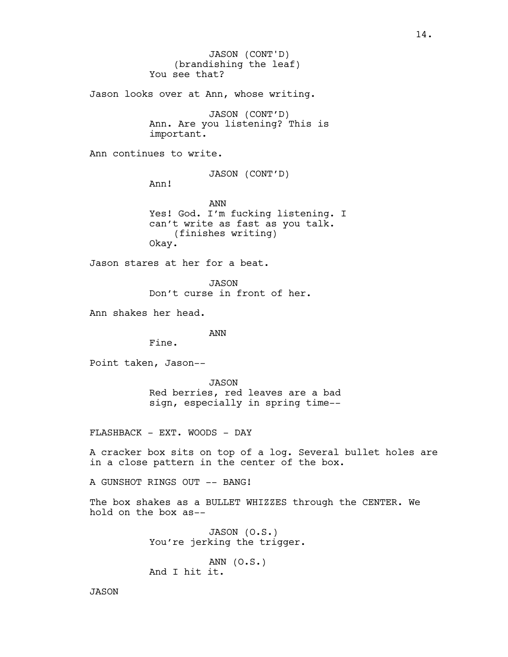(brandishing the leaf) You see that? Jason looks over at Ann, whose writing. JASON (CONT'D) Ann. Are you listening? This is important. Ann continues to write. JASON (CONT'D) Ann! ANN Yes! God. I'm fucking listening. I can't write as fast as you talk. (finishes writing) Okay. Jason stares at her for a beat. JASON Don't curse in front of her. Ann shakes her head. ANN Fine. Point taken, Jason-- JASON Red berries, red leaves are a bad sign, especially in spring time-- FLASHBACK - EXT. WOODS - DAY A cracker box sits on top of a log. Several bullet holes are in a close pattern in the center of the box. A GUNSHOT RINGS OUT -- BANG! The box shakes as a BULLET WHIZZES through the CENTER. We hold on the box as-- JASON (O.S.) You're jerking the trigger. ANN (O.S.) And I hit it. JASON (CONT'D)

JASON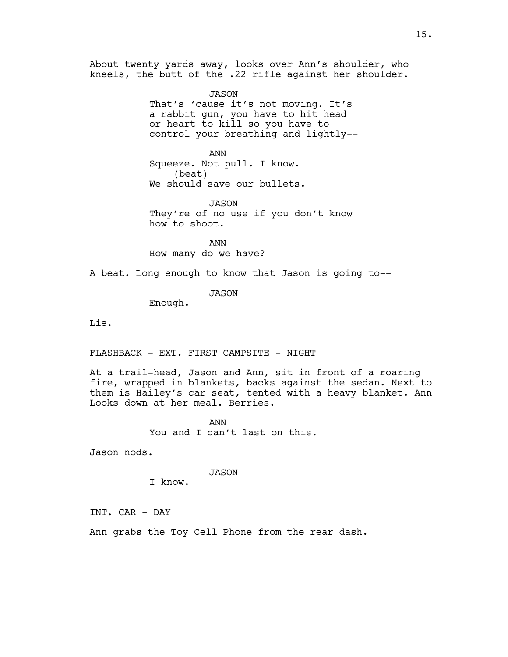About twenty yards away, looks over Ann's shoulder, who kneels, the butt of the .22 rifle against her shoulder.

JASON

That's 'cause it's not moving. It's a rabbit gun, you have to hit head or heart to kill so you have to control your breathing and lightly--

ANN Squeeze. Not pull. I know. (beat) We should save our bullets.

JASON They're of no use if you don't know how to shoot.

ANN How many do we have?

A beat. Long enough to know that Jason is going to--

JASON

Enough.

Lie.

FLASHBACK - EXT. FIRST CAMPSITE - NIGHT

At a trail-head, Jason and Ann, sit in front of a roaring fire, wrapped in blankets, backs against the sedan. Next to them is Hailey's car seat, tented with a heavy blanket. Ann Looks down at her meal. Berries.

> ANN You and I can't last on this.

Jason nods.

JASON

I know.

INT. CAR - DAY

Ann grabs the Toy Cell Phone from the rear dash.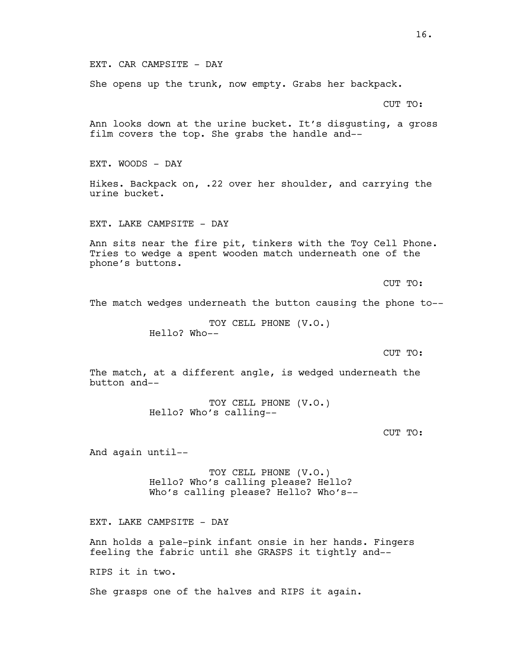EXT. CAR CAMPSITE - DAY

She opens up the trunk, now empty. Grabs her backpack.

CUT TO:

Ann looks down at the urine bucket. It's disgusting, a gross film covers the top. She grabs the handle and--

EXT. WOODS - DAY

Hikes. Backpack on, .22 over her shoulder, and carrying the urine bucket.

EXT. LAKE CAMPSITE - DAY

Ann sits near the fire pit, tinkers with the Toy Cell Phone. Tries to wedge a spent wooden match underneath one of the phone's buttons.

CUT TO:

The match wedges underneath the button causing the phone to--

TOY CELL PHONE (V.O.) Hello? Who--

CUT TO:

The match, at a different angle, is wedged underneath the button and--

> TOY CELL PHONE (V.O.) Hello? Who's calling--

> > CUT TO:

And again until--

TOY CELL PHONE (V.O.) Hello? Who's calling please? Hello? Who's calling please? Hello? Who's--

EXT. LAKE CAMPSITE - DAY

Ann holds a pale-pink infant onsie in her hands. Fingers feeling the fabric until she GRASPS it tightly and--

RIPS it in two.

She grasps one of the halves and RIPS it again.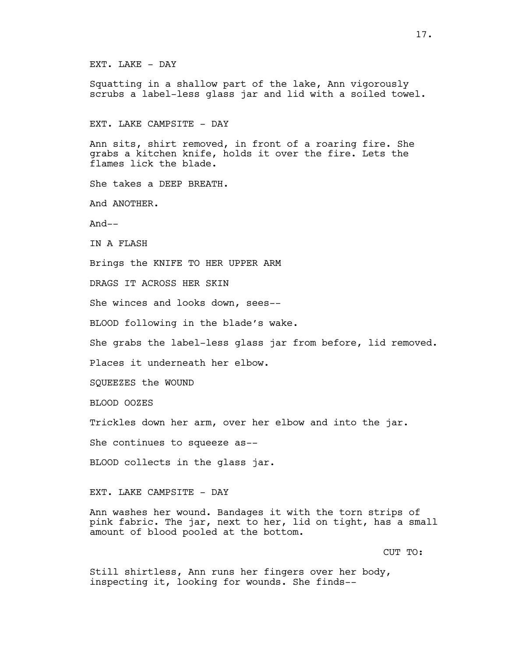EXT. LAKE - DAY Squatting in a shallow part of the lake, Ann vigorously scrubs a label-less glass jar and lid with a soiled towel. EXT. LAKE CAMPSITE - DAY Ann sits, shirt removed, in front of a roaring fire. She grabs a kitchen knife, holds it over the fire. Lets the flames lick the blade. She takes a DEEP BREATH. And ANOTHER. And-- IN A FLASH Brings the KNIFE TO HER UPPER ARM DRAGS IT ACROSS HER SKIN She winces and looks down, sees-- BLOOD following in the blade's wake. She grabs the label-less glass jar from before, lid removed. Places it underneath her elbow. SQUEEZES the WOUND BLOOD OOZES Trickles down her arm, over her elbow and into the jar. She continues to squeeze as-- BLOOD collects in the glass jar. EXT. LAKE CAMPSITE - DAY Ann washes her wound. Bandages it with the torn strips of

CUT TO:

Still shirtless, Ann runs her fingers over her body, inspecting it, looking for wounds. She finds--

amount of blood pooled at the bottom.

pink fabric. The jar, next to her, lid on tight, has a small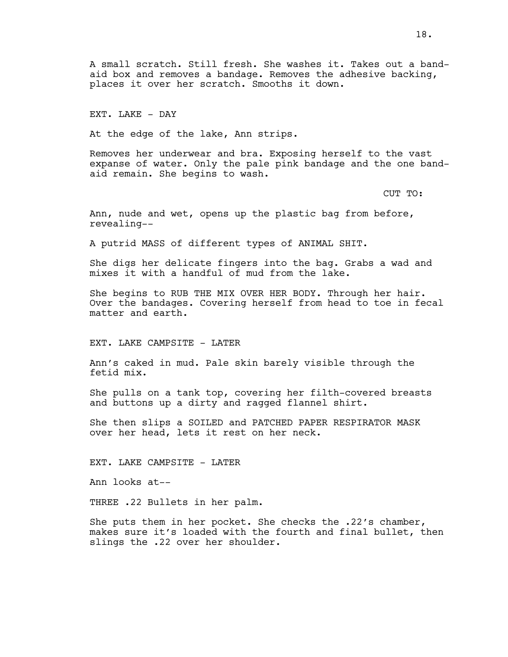EXT. LAKE - DAY

At the edge of the lake, Ann strips.

Removes her underwear and bra. Exposing herself to the vast expanse of water. Only the pale pink bandage and the one bandaid remain. She begins to wash.

CUT TO:

Ann, nude and wet, opens up the plastic bag from before, revealing--

A putrid MASS of different types of ANIMAL SHIT.

She digs her delicate fingers into the bag. Grabs a wad and mixes it with a handful of mud from the lake.

She begins to RUB THE MIX OVER HER BODY. Through her hair. Over the bandages. Covering herself from head to toe in fecal matter and earth.

EXT. LAKE CAMPSITE - LATER

Ann's caked in mud. Pale skin barely visible through the fetid mix.

She pulls on a tank top, covering her filth-covered breasts and buttons up a dirty and ragged flannel shirt.

She then slips a SOILED and PATCHED PAPER RESPIRATOR MASK over her head, lets it rest on her neck.

EXT. LAKE CAMPSITE - LATER

Ann looks at--

THREE .22 Bullets in her palm.

She puts them in her pocket. She checks the .22's chamber, makes sure it's loaded with the fourth and final bullet, then slings the .22 over her shoulder.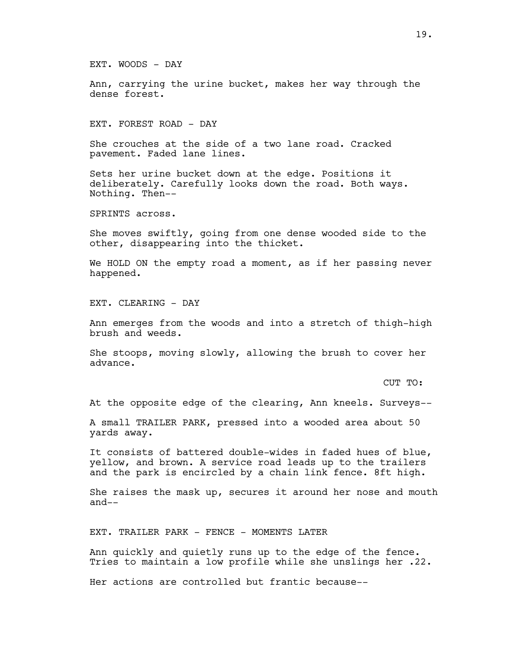EXT. WOODS - DAY

Ann, carrying the urine bucket, makes her way through the dense forest.

EXT. FOREST ROAD - DAY

She crouches at the side of a two lane road. Cracked pavement. Faded lane lines.

Sets her urine bucket down at the edge. Positions it deliberately. Carefully looks down the road. Both ways. Nothing. Then--

SPRINTS across.

She moves swiftly, going from one dense wooded side to the other, disappearing into the thicket.

We HOLD ON the empty road a moment, as if her passing never happened.

EXT. CLEARING - DAY

Ann emerges from the woods and into a stretch of thigh-high brush and weeds.

She stoops, moving slowly, allowing the brush to cover her advance.

CUT TO:

At the opposite edge of the clearing, Ann kneels. Surveys--

A small TRAILER PARK, pressed into a wooded area about 50 yards away.

It consists of battered double-wides in faded hues of blue, yellow, and brown. A service road leads up to the trailers and the park is encircled by a chain link fence. 8ft high.

She raises the mask up, secures it around her nose and mouth and--

EXT. TRAILER PARK - FENCE - MOMENTS LATER

Ann quickly and quietly runs up to the edge of the fence. Tries to maintain a low profile while she unslings her .22.

Her actions are controlled but frantic because--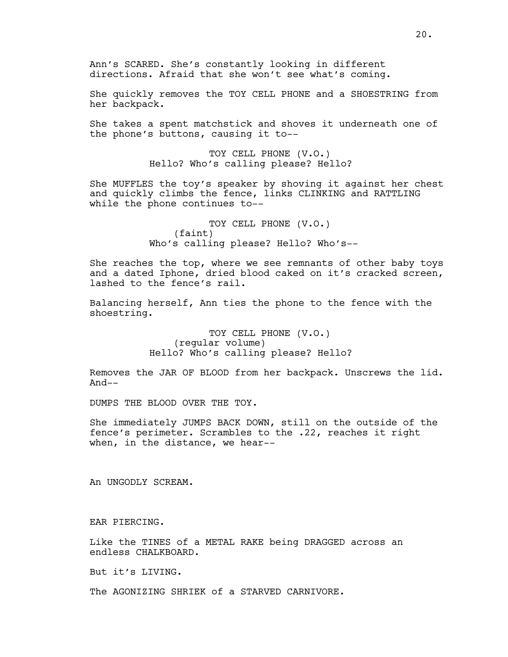Ann's SCARED. She's constantly looking in different directions. Afraid that she won't see what's coming.

She quickly removes the TOY CELL PHONE and a SHOESTRING from her backpack.

She takes a spent matchstick and shoves it underneath one of the phone's buttons, causing it to--

> TOY CELL PHONE (V.O.) Hello? Who's calling please? Hello?

She MUFFLES the toy's speaker by shoving it against her chest and quickly climbs the fence, links CLINKING and RATTLING while the phone continues to--

> TOY CELL PHONE (V.O.) (faint) Who's calling please? Hello? Who's--

She reaches the top, where we see remnants of other baby toys and a dated Iphone, dried blood caked on it's cracked screen, lashed to the fence's rail.

Balancing herself, Ann ties the phone to the fence with the shoestring.

> TOY CELL PHONE (V.O.) (regular volume) Hello? Who's calling please? Hello?

Removes the JAR OF BLOOD from her backpack. Unscrews the lid. And--

DUMPS THE BLOOD OVER THE TOY.

She immediately JUMPS BACK DOWN, still on the outside of the fence's perimeter. Scrambles to the .22, reaches it right when, in the distance, we hear--

An UNGODLY SCREAM.

EAR PIERCING.

Like the TINES of a METAL RAKE being DRAGGED across an endless CHALKBOARD.

But it's LIVING.

The AGONIZING SHRIEK of a STARVED CARNIVORE.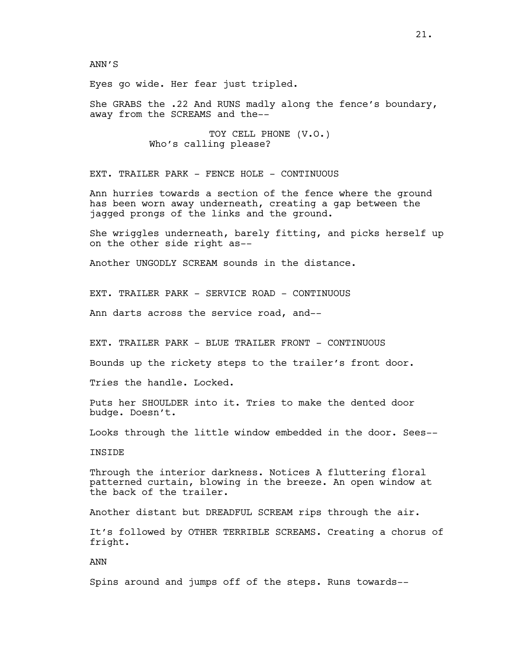ANN'S

Eyes go wide. Her fear just tripled.

She GRABS the .22 And RUNS madly along the fence's boundary, away from the SCREAMS and the--

> TOY CELL PHONE (V.O.) Who's calling please?

EXT. TRAILER PARK - FENCE HOLE - CONTINUOUS

Ann hurries towards a section of the fence where the ground has been worn away underneath, creating a gap between the jagged prongs of the links and the ground.

She wriggles underneath, barely fitting, and picks herself up on the other side right as--

Another UNGODLY SCREAM sounds in the distance.

EXT. TRAILER PARK - SERVICE ROAD - CONTINUOUS

Ann darts across the service road, and--

EXT. TRAILER PARK - BLUE TRAILER FRONT - CONTINUOUS

Bounds up the rickety steps to the trailer's front door.

Tries the handle. Locked.

Puts her SHOULDER into it. Tries to make the dented door budge. Doesn't.

Looks through the little window embedded in the door. Sees--

INSIDE

Through the interior darkness. Notices A fluttering floral patterned curtain, blowing in the breeze. An open window at the back of the trailer.

Another distant but DREADFUL SCREAM rips through the air.

It's followed by OTHER TERRIBLE SCREAMS. Creating a chorus of fright.

ANN

Spins around and jumps off of the steps. Runs towards--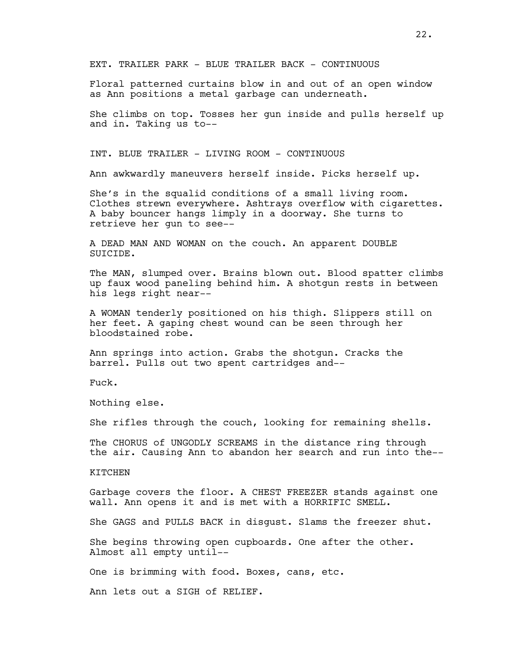EXT. TRAILER PARK - BLUE TRAILER BACK - CONTINUOUS

Floral patterned curtains blow in and out of an open window as Ann positions a metal garbage can underneath.

She climbs on top. Tosses her gun inside and pulls herself up and in. Taking us to--

INT. BLUE TRAILER - LIVING ROOM - CONTINUOUS

Ann awkwardly maneuvers herself inside. Picks herself up.

She's in the squalid conditions of a small living room. Clothes strewn everywhere. Ashtrays overflow with cigarettes. A baby bouncer hangs limply in a doorway. She turns to retrieve her gun to see--

A DEAD MAN AND WOMAN on the couch. An apparent DOUBLE SUICIDE.

The MAN, slumped over. Brains blown out. Blood spatter climbs up faux wood paneling behind him. A shotgun rests in between his legs right near--

A WOMAN tenderly positioned on his thigh. Slippers still on her feet. A gaping chest wound can be seen through her bloodstained robe.

Ann springs into action. Grabs the shotgun. Cracks the barrel. Pulls out two spent cartridges and--

Fuck.

Nothing else.

She rifles through the couch, looking for remaining shells.

The CHORUS of UNGODLY SCREAMS in the distance ring through the air. Causing Ann to abandon her search and run into the--

KITCHEN

Garbage covers the floor. A CHEST FREEZER stands against one wall. Ann opens it and is met with a HORRIFIC SMELL.

She GAGS and PULLS BACK in disgust. Slams the freezer shut.

She begins throwing open cupboards. One after the other. Almost all empty until--

One is brimming with food. Boxes, cans, etc.

Ann lets out a SIGH of RELIEF.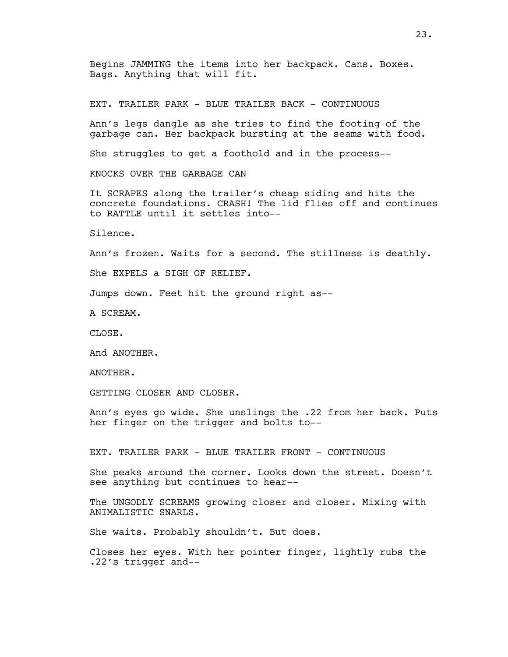Begins JAMMING the items into her backpack. Cans. Boxes. Bags. Anything that will fit.

EXT. TRAILER PARK - BLUE TRAILER BACK - CONTINUOUS

Ann's legs dangle as she tries to find the footing of the garbage can. Her backpack bursting at the seams with food.

She struggles to get a foothold and in the process--

KNOCKS OVER THE GARBAGE CAN

It SCRAPES along the trailer's cheap siding and hits the concrete foundations. CRASH! The lid flies off and continues to RATTLE until it settles into--

Silence.

Ann's frozen. Waits for a second. The stillness is deathly.

She EXPELS a SIGH OF RELIEF.

Jumps down. Feet hit the ground right as--

A SCREAM.

CLOSE.

And ANOTHER.

ANOTHER.

GETTING CLOSER AND CLOSER.

Ann's eyes go wide. She unslings the .22 from her back. Puts her finger on the trigger and bolts to--

EXT. TRAILER PARK - BLUE TRAILER FRONT - CONTINUOUS

She peaks around the corner. Looks down the street. Doesn't see anything but continues to hear--

The UNGODLY SCREAMS growing closer and closer. Mixing with ANIMALISTIC SNARLS.

She waits. Probably shouldn't. But does.

Closes her eyes. With her pointer finger, lightly rubs the .22's trigger and--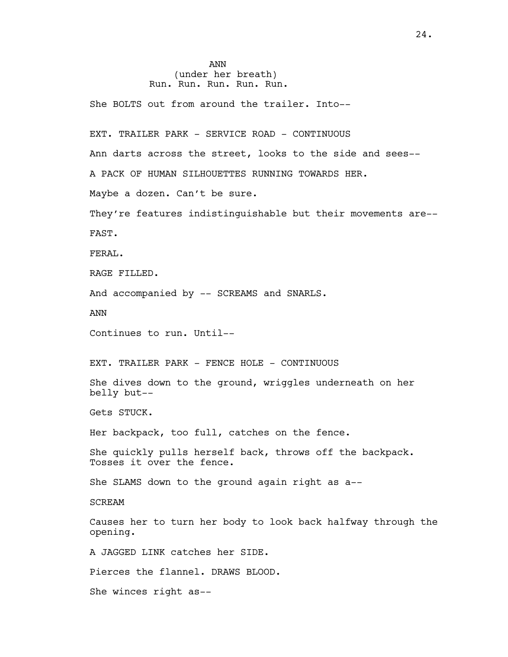# ANN (under her breath) Run. Run. Run. Run. Run.

She BOLTS out from around the trailer. Into--

EXT. TRAILER PARK - SERVICE ROAD - CONTINUOUS

Ann darts across the street, looks to the side and sees--

A PACK OF HUMAN SILHOUETTES RUNNING TOWARDS HER.

Maybe a dozen. Can't be sure.

They're features indistinguishable but their movements are-- FAST.

FERAL.

RAGE FILLED.

And accompanied by -- SCREAMS and SNARLS.

ANN

Continues to run. Until--

EXT. TRAILER PARK - FENCE HOLE - CONTINUOUS

She dives down to the ground, wriggles underneath on her belly but--

Gets STUCK.

Her backpack, too full, catches on the fence.

She quickly pulls herself back, throws off the backpack. Tosses it over the fence.

She SLAMS down to the ground again right as a--

**SCREAM** 

Causes her to turn her body to look back halfway through the opening.

A JAGGED LINK catches her SIDE.

Pierces the flannel. DRAWS BLOOD.

She winces right as--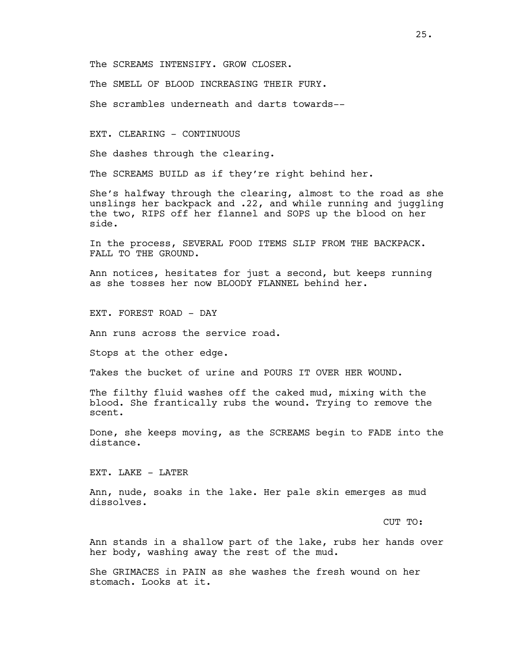The SCREAMS INTENSIFY. GROW CLOSER.

The SMELL OF BLOOD INCREASING THEIR FURY.

She scrambles underneath and darts towards--

EXT. CLEARING - CONTINUOUS

She dashes through the clearing.

The SCREAMS BUILD as if they're right behind her.

She's halfway through the clearing, almost to the road as she unslings her backpack and .22, and while running and juggling the two, RIPS off her flannel and SOPS up the blood on her side.

In the process, SEVERAL FOOD ITEMS SLIP FROM THE BACKPACK. FALL TO THE GROUND.

Ann notices, hesitates for just a second, but keeps running as she tosses her now BLOODY FLANNEL behind her.

EXT. FOREST ROAD - DAY

Ann runs across the service road.

Stops at the other edge.

Takes the bucket of urine and POURS IT OVER HER WOUND.

The filthy fluid washes off the caked mud, mixing with the blood. She frantically rubs the wound. Trying to remove the scent.

Done, she keeps moving, as the SCREAMS begin to FADE into the distance.

EXT. LAKE - LATER

Ann, nude, soaks in the lake. Her pale skin emerges as mud dissolves.

CUT TO:

Ann stands in a shallow part of the lake, rubs her hands over her body, washing away the rest of the mud.

She GRIMACES in PAIN as she washes the fresh wound on her stomach. Looks at it.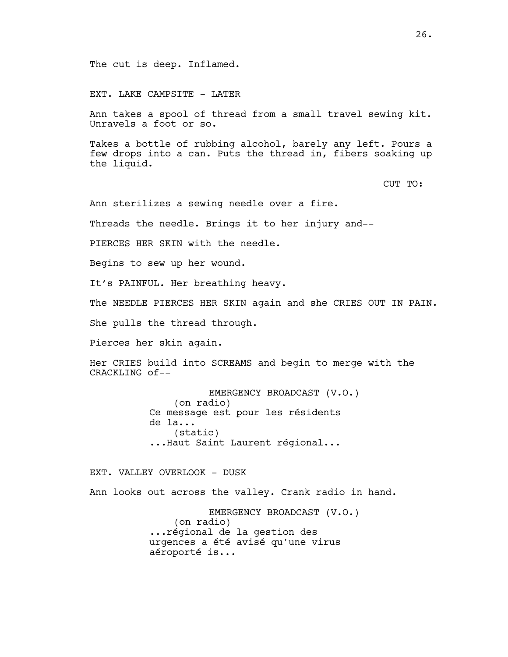EXT. LAKE CAMPSITE - LATER

Ann takes a spool of thread from a small travel sewing kit. Unravels a foot or so.

Takes a bottle of rubbing alcohol, barely any left. Pours a few drops into a can. Puts the thread in, fibers soaking up the liquid.

CUT TO:

```
Ann sterilizes a sewing needle over a fire.
```
Threads the needle. Brings it to her injury and--

PIERCES HER SKIN with the needle.

Begins to sew up her wound.

It's PAINFUL. Her breathing heavy.

The NEEDLE PIERCES HER SKIN again and she CRIES OUT IN PAIN.

She pulls the thread through.

Pierces her skin again.

Her CRIES build into SCREAMS and begin to merge with the CRACKLING of--

> EMERGENCY BROADCAST (V.O.) (on radio) Ce message est pour les résidents de la... (static) ...Haut Saint Laurent régional...

EXT. VALLEY OVERLOOK - DUSK

Ann looks out across the valley. Crank radio in hand.

EMERGENCY BROADCAST (V.O.) (on radio) ...régional de la gestion des urgences a été avisé qu'une virus aéroporté is...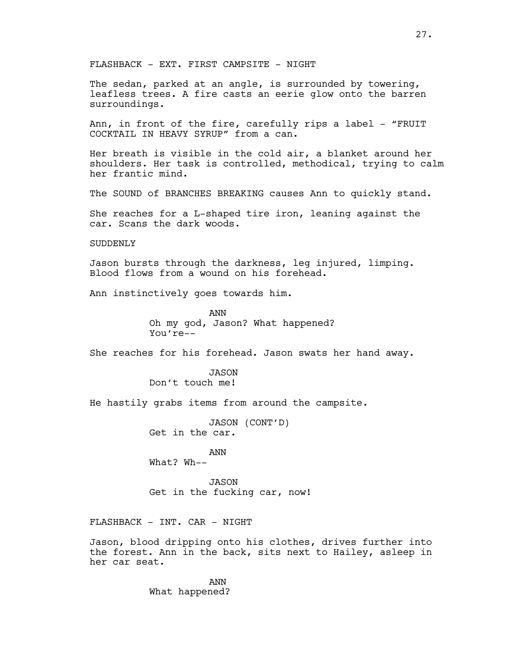FLASHBACK - EXT. FIRST CAMPSITE - NIGHT

The sedan, parked at an angle, is surrounded by towering, leafless trees. A fire casts an eerie glow onto the barren surroundings.

Ann, in front of the fire, carefully rips a label - "FRUIT COCKTAIL IN HEAVY SYRUP" from a can.

Her breath is visible in the cold air, a blanket around her shoulders. Her task is controlled, methodical, trying to calm her frantic mind.

The SOUND of BRANCHES BREAKING causes Ann to quickly stand.

She reaches for a L-shaped tire iron, leaning against the car. Scans the dark woods.

#### SUDDENLY

Jason bursts through the darkness, leg injured, limping. Blood flows from a wound on his forehead.

Ann instinctively goes towards him.

ANN Oh my god, Jason? What happened? You're--

She reaches for his forehead. Jason swats her hand away.

JASON Don't touch me!

He hastily grabs items from around the campsite.

JASON (CONT'D) Get in the car.

ANN What? Wh--

JASON Get in the fucking car, now!

FLASHBACK - INT. CAR - NIGHT

Jason, blood dripping onto his clothes, drives further into the forest. Ann in the back, sits next to Hailey, asleep in her car seat.

> ANN What happened?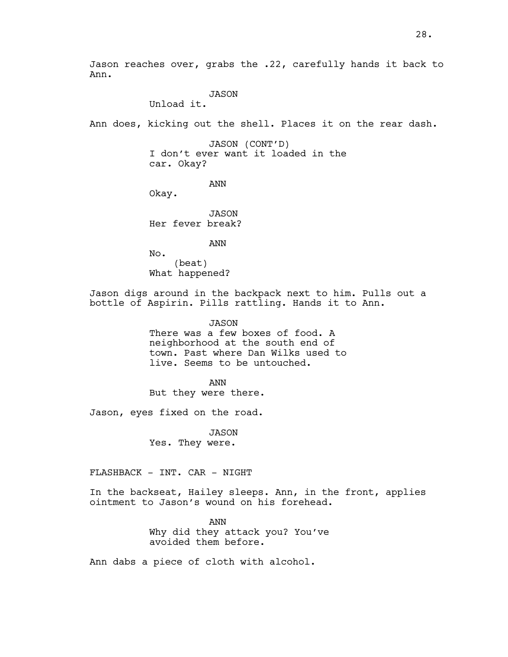Jason reaches over, grabs the .22, carefully hands it back to Ann.

JASON

Unload it.

Ann does, kicking out the shell. Places it on the rear dash.

JASON (CONT'D) I don't ever want it loaded in the car. Okay?

ANN

Okay.

JASON Her fever break?

ANN

No. (beat) What happened?

Jason digs around in the backpack next to him. Pulls out a bottle of Aspirin. Pills rattling. Hands it to Ann.

> JASON There was a few boxes of food. A neighborhood at the south end of town. Past where Dan Wilks used to live. Seems to be untouched.

ANN But they were there.

Jason, eyes fixed on the road.

JASON Yes. They were.

FLASHBACK - INT. CAR - NIGHT

In the backseat, Hailey sleeps. Ann, in the front, applies ointment to Jason's wound on his forehead.

> ANN Why did they attack you? You've avoided them before.

Ann dabs a piece of cloth with alcohol.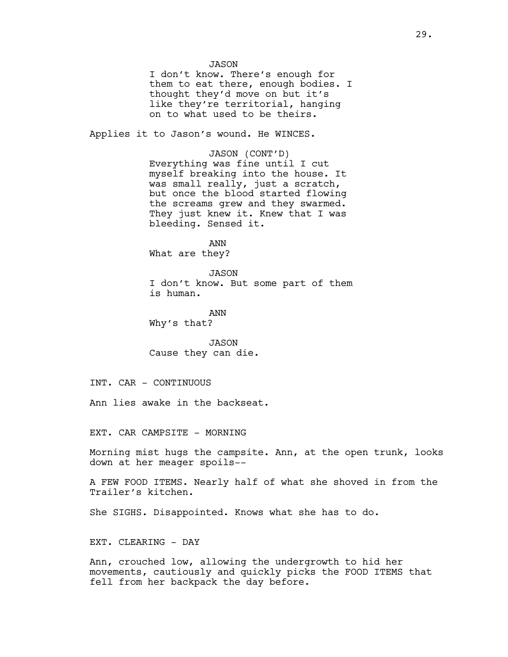JASON

I don't know. There's enough for them to eat there, enough bodies. I thought they'd move on but it's like they're territorial, hanging on to what used to be theirs.

Applies it to Jason's wound. He WINCES.

JASON (CONT'D) Everything was fine until I cut myself breaking into the house. It was small really, just a scratch, but once the blood started flowing the screams grew and they swarmed. They just knew it. Knew that I was bleeding. Sensed it.

ANN What are they?

JASON I don't know. But some part of them is human.

ANN Why's that?

JASON Cause they can die.

INT. CAR - CONTINUOUS

Ann lies awake in the backseat.

EXT. CAR CAMPSITE - MORNING

Morning mist hugs the campsite. Ann, at the open trunk, looks down at her meager spoils--

A FEW FOOD ITEMS. Nearly half of what she shoved in from the Trailer's kitchen.

She SIGHS. Disappointed. Knows what she has to do.

EXT. CLEARING - DAY

Ann, crouched low, allowing the undergrowth to hid her movements, cautiously and quickly picks the FOOD ITEMS that fell from her backpack the day before.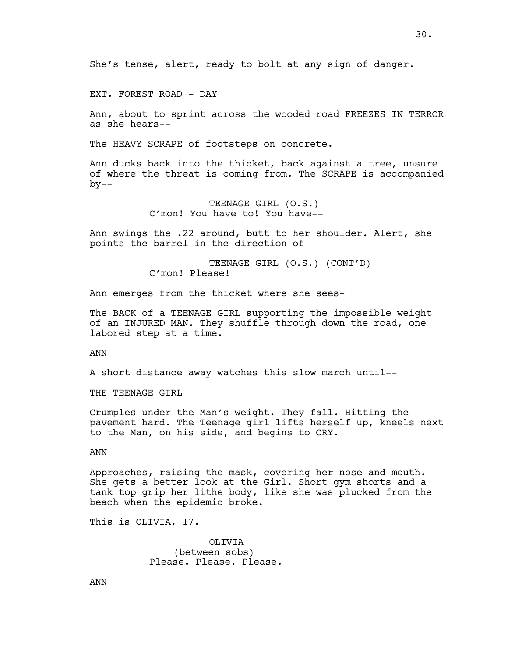She's tense, alert, ready to bolt at any sign of danger.

EXT. FOREST ROAD - DAY

Ann, about to sprint across the wooded road FREEZES IN TERROR as she hears--

The HEAVY SCRAPE of footsteps on concrete.

Ann ducks back into the thicket, back against a tree, unsure of where the threat is coming from. The SCRAPE is accompanied  $by --$ 

> TEENAGE GIRL (O.S.) C'mon! You have to! You have--

Ann swings the .22 around, butt to her shoulder. Alert, she points the barrel in the direction of--

> TEENAGE GIRL (O.S.) (CONT'D) C'mon! Please!

Ann emerges from the thicket where she sees-

The BACK of a TEENAGE GIRL supporting the impossible weight of an INJURED MAN. They shuffle through down the road, one labored step at a time.

ANN

A short distance away watches this slow march until--

THE TEENAGE GIRL

Crumples under the Man's weight. They fall. Hitting the pavement hard. The Teenage girl lifts herself up, kneels next to the Man, on his side, and begins to CRY.

ANN

Approaches, raising the mask, covering her nose and mouth. She gets a better look at the Girl. Short gym shorts and a tank top grip her lithe body, like she was plucked from the beach when the epidemic broke.

This is OLIVIA, 17.

OLIVIA (between sobs) Please. Please. Please.

ANN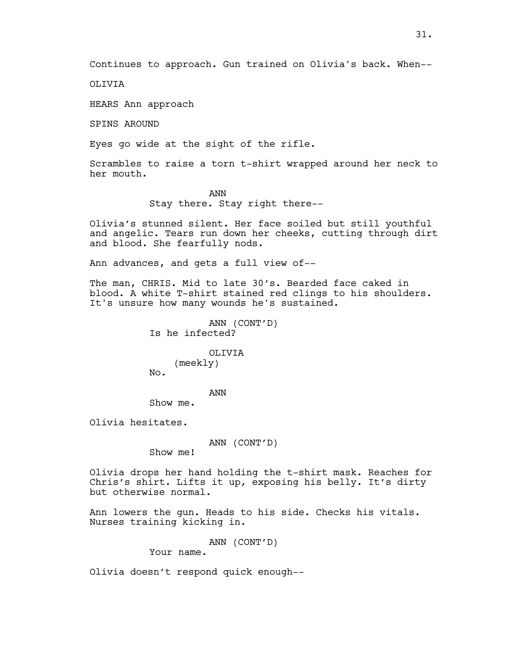Continues to approach. Gun trained on Olivia's back. When--

OLIVIA

HEARS Ann approach

SPINS AROUND

Eyes go wide at the sight of the rifle.

Scrambles to raise a torn t-shirt wrapped around her neck to her mouth.

> ANN Stay there. Stay right there--

Olivia's stunned silent. Her face soiled but still youthful and angelic. Tears run down her cheeks, cutting through dirt and blood. She fearfully nods.

Ann advances, and gets a full view of--

The man, CHRIS. Mid to late 30's. Bearded face caked in blood. A white T-shirt stained red clings to his shoulders. It's unsure how many wounds he's sustained.

> ANN (CONT'D) Is he infected?

> > OLIVIA (meekly)

No.

ANN

Show me.

Olivia hesitates.

ANN (CONT'D)

Show me!

Olivia drops her hand holding the t-shirt mask. Reaches for Chris's shirt. Lifts it up, exposing his belly. It's dirty but otherwise normal.

Ann lowers the gun. Heads to his side. Checks his vitals. Nurses training kicking in.

ANN (CONT'D)

Your name.

Olivia doesn't respond quick enough--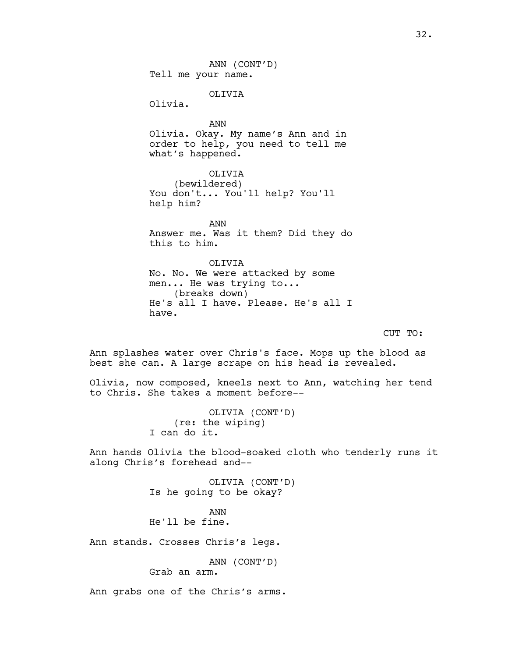Tell me your name. OLIVIA Olivia. ANN Olivia. Okay. My name's Ann and in order to help, you need to tell me what's happened.

ANN (CONT'D)

OLIVIA (bewildered) You don't... You'll help? You'll help him?

ANN Answer me. Was it them? Did they do this to him.

OLIVIA No. No. We were attacked by some men... He was trying to... (breaks down) He's all I have. Please. He's all I have.

CUT TO:

Ann splashes water over Chris's face. Mops up the blood as best she can. A large scrape on his head is revealed.

Olivia, now composed, kneels next to Ann, watching her tend to Chris. She takes a moment before--

> OLIVIA (CONT'D) (re: the wiping) I can do it.

Ann hands Olivia the blood-soaked cloth who tenderly runs it along Chris's forehead and--

> OLIVIA (CONT'D) Is he going to be okay?

ANN He'll be fine.

Ann stands. Crosses Chris's legs.

ANN (CONT'D)

Grab an arm.

Ann grabs one of the Chris's arms.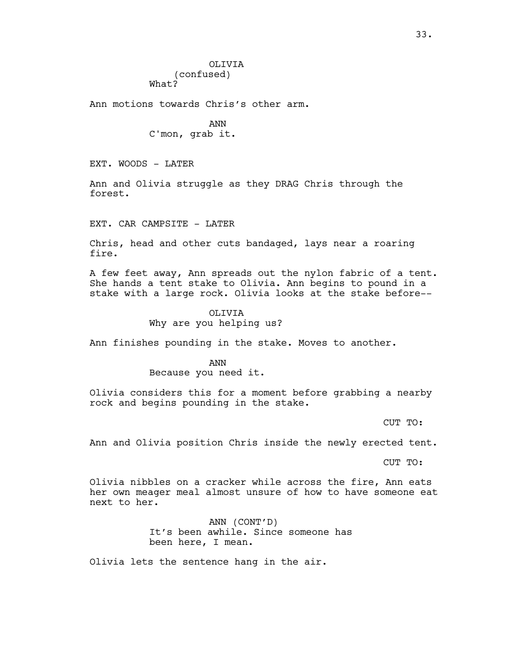OLIVIA (confused) What?

Ann motions towards Chris's other arm.

ANN C'mon, grab it.

EXT. WOODS - LATER

Ann and Olivia struggle as they DRAG Chris through the forest.

EXT. CAR CAMPSITE - LATER

Chris, head and other cuts bandaged, lays near a roaring fire.

A few feet away, Ann spreads out the nylon fabric of a tent. She hands a tent stake to Olivia. Ann begins to pound in a stake with a large rock. Olivia looks at the stake before--

OLIVIA

Why are you helping us?

Ann finishes pounding in the stake. Moves to another.

ANN Because you need it.

Olivia considers this for a moment before grabbing a nearby rock and begins pounding in the stake.

CUT TO:

Ann and Olivia position Chris inside the newly erected tent.

CUT TO:

Olivia nibbles on a cracker while across the fire, Ann eats her own meager meal almost unsure of how to have someone eat next to her.

> ANN (CONT'D) It's been awhile. Since someone has been here, I mean.

Olivia lets the sentence hang in the air.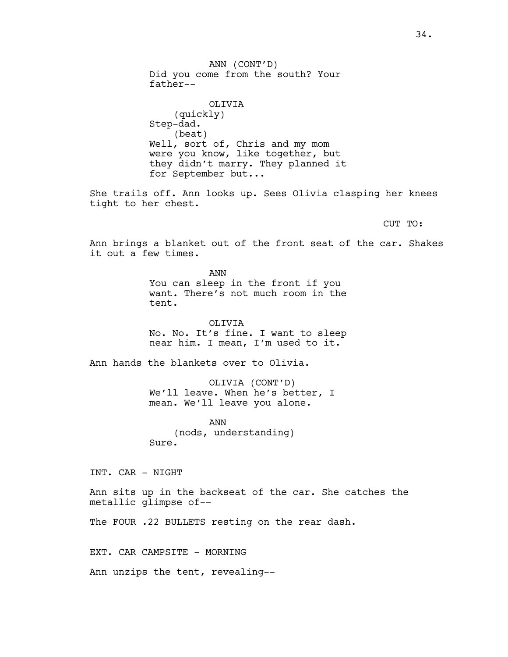ANN (CONT'D) Did you come from the south? Your father--

OLIVIA (quickly) Step-dad. (beat) Well, sort of, Chris and my mom were you know, like together, but they didn't marry. They planned it for September but...

She trails off. Ann looks up. Sees Olivia clasping her knees tight to her chest.

CUT TO:

Ann brings a blanket out of the front seat of the car. Shakes it out a few times.

> ANN You can sleep in the front if you want. There's not much room in the tent.

> OLIVIA No. No. It's fine. I want to sleep near him. I mean, I'm used to it.

Ann hands the blankets over to Olivia.

OLIVIA (CONT'D) We'll leave. When he's better, I mean. We'll leave you alone.

ANN (nods, understanding) Sure.

INT. CAR - NIGHT

Ann sits up in the backseat of the car. She catches the metallic glimpse of--

The FOUR .22 BULLETS resting on the rear dash.

EXT. CAR CAMPSITE - MORNING

Ann unzips the tent, revealing--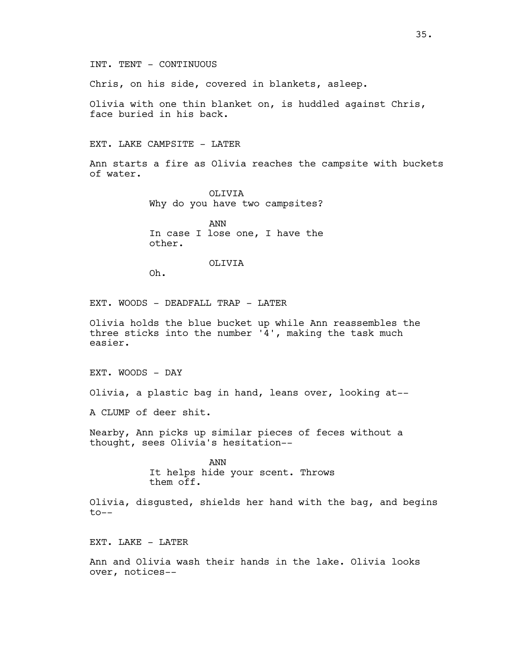INT. TENT - CONTINUOUS

Chris, on his side, covered in blankets, asleep.

Olivia with one thin blanket on, is huddled against Chris, face buried in his back.

# EXT. LAKE CAMPSITE - LATER

Ann starts a fire as Olivia reaches the campsite with buckets of water.

> OLIVIA Why do you have two campsites?

> ANN In case I lose one, I have the other.

### OLIVIA

Oh.

EXT. WOODS - DEADFALL TRAP - LATER

Olivia holds the blue bucket up while Ann reassembles the three sticks into the number '4', making the task much easier.

EXT. WOODS - DAY

Olivia, a plastic bag in hand, leans over, looking at--

A CLUMP of deer shit.

Nearby, Ann picks up similar pieces of feces without a thought, sees Olivia's hesitation--

> ANN It helps hide your scent. Throws them off.

Olivia, disgusted, shields her hand with the bag, and begins to--

EXT. LAKE - LATER

Ann and Olivia wash their hands in the lake. Olivia looks over, notices--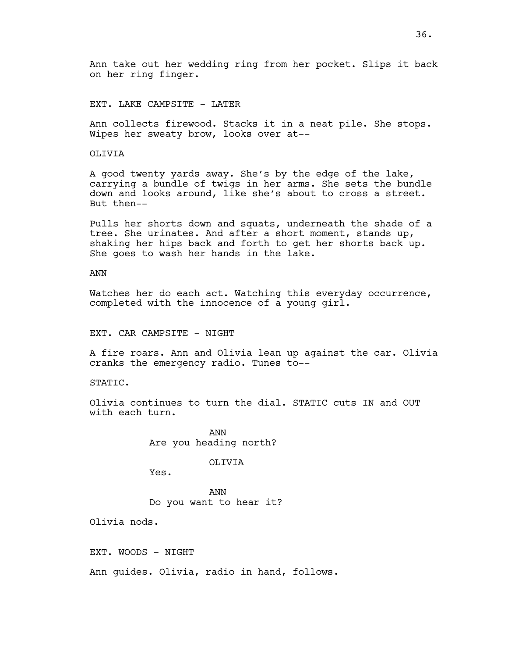Ann take out her wedding ring from her pocket. Slips it back on her ring finger.

EXT. LAKE CAMPSITE - LATER

Ann collects firewood. Stacks it in a neat pile. She stops. Wipes her sweaty brow, looks over at--

**OLIVIA** 

A good twenty yards away. She's by the edge of the lake, carrying a bundle of twigs in her arms. She sets the bundle down and looks around, like she's about to cross a street. But then--

Pulls her shorts down and squats, underneath the shade of a tree. She urinates. And after a short moment, stands up, shaking her hips back and forth to get her shorts back up. She goes to wash her hands in the lake.

ANN

Watches her do each act. Watching this everyday occurrence, completed with the innocence of a young girl.

EXT. CAR CAMPSITE - NIGHT

A fire roars. Ann and Olivia lean up against the car. Olivia cranks the emergency radio. Tunes to--

STATIC.

Olivia continues to turn the dial. STATIC cuts IN and OUT with each turn.

> ANN Are you heading north?

> > OLIVIA

Yes.

ANN Do you want to hear it?

Olivia nods.

EXT. WOODS - NIGHT

Ann guides. Olivia, radio in hand, follows.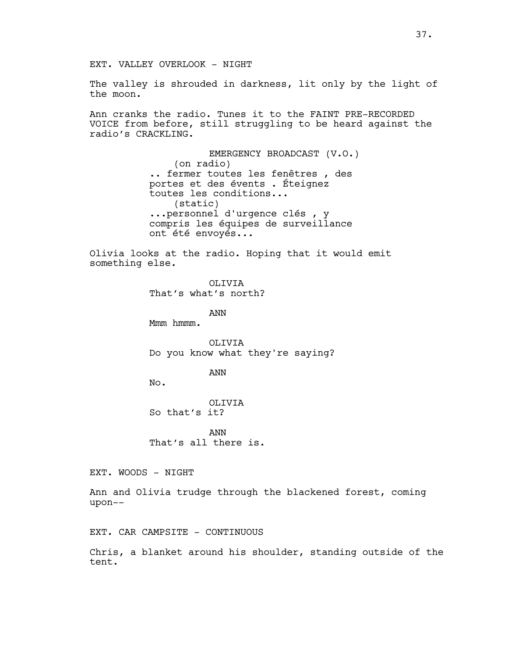The valley is shrouded in darkness, lit only by the light of the moon.

Ann cranks the radio. Tunes it to the FAINT PRE-RECORDED VOICE from before, still struggling to be heard against the radio's CRACKLING.

> EMERGENCY BROADCAST (V.O.) (on radio) .. fermer toutes les fenêtres , des portes et des évents . Éteignez toutes les conditions... (static) ...personnel d'urgence clés , y compris les équipes de surveillance ont été envoyés...

Olivia looks at the radio. Hoping that it would emit something else.

> OLIVIA That's what's north?

> > ANN

Mmm hmmm.

OLIVIA Do you know what they're saying?

### ANN

No.

OLIVIA So that's it?

ANN That's all there is.

EXT. WOODS - NIGHT

Ann and Olivia trudge through the blackened forest, coming upon--

EXT. CAR CAMPSITE - CONTINUOUS

Chris, a blanket around his shoulder, standing outside of the tent.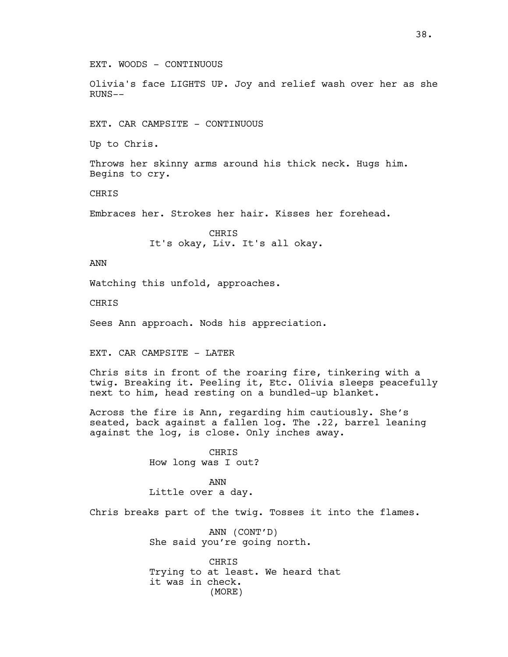EXT. WOODS - CONTINUOUS

Olivia's face LIGHTS UP. Joy and relief wash over her as she RUNS--

EXT. CAR CAMPSITE - CONTINUOUS

Up to Chris.

Throws her skinny arms around his thick neck. Hugs him. Begins to cry.

**CHRIS** 

Embraces her. Strokes her hair. Kisses her forehead.

CHRIS It's okay, Liv. It's all okay.

#### ANN

Watching this unfold, approaches.

**CHRIS** 

Sees Ann approach. Nods his appreciation.

EXT. CAR CAMPSITE - LATER

Chris sits in front of the roaring fire, tinkering with a twig. Breaking it. Peeling it, Etc. Olivia sleeps peacefully next to him, head resting on a bundled-up blanket.

Across the fire is Ann, regarding him cautiously. She's seated, back against a fallen log. The .22, barrel leaning against the log, is close. Only inches away.

> CHRIS How long was I out?

ANN Little over a day.

Chris breaks part of the twig. Tosses it into the flames.

ANN (CONT'D) She said you're going north.

CHRIS Trying to at least. We heard that it was in check. (MORE)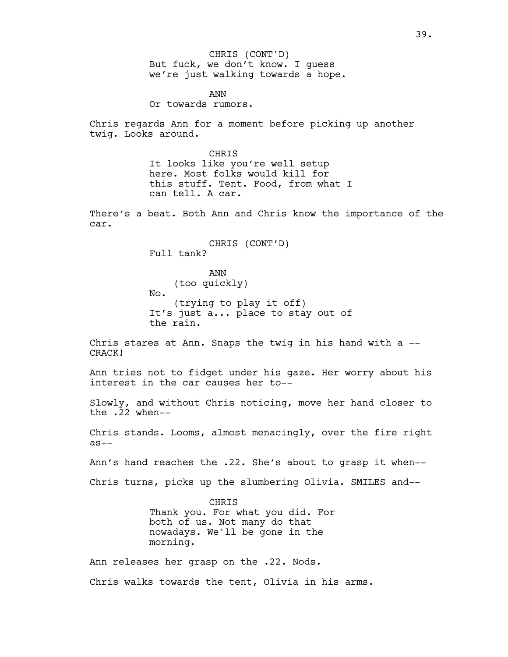But fuck, we don't know. I guess we're just walking towards a hope. CHRIS (CONT'D)

ANN Or towards rumors.

Chris regards Ann for a moment before picking up another twig. Looks around.

> **CHRTS** It looks like you're well setup here. Most folks would kill for this stuff. Tent. Food, from what I can tell. A car.

There's a beat. Both Ann and Chris know the importance of the car.

> CHRIS (CONT'D) Full tank?

ANN (too quickly) No. (trying to play it off) It's just a... place to stay out of the rain.

Chris stares at Ann. Snaps the twig in his hand with a -- CRACK!

Ann tries not to fidget under his gaze. Her worry about his interest in the car causes her to--

Slowly, and without Chris noticing, move her hand closer to the .22 when--

Chris stands. Looms, almost menacingly, over the fire right as--

Ann's hand reaches the .22. She's about to grasp it when--

Chris turns, picks up the slumbering Olivia. SMILES and--

CHRIS Thank you. For what you did. For both of us. Not many do that nowadays. We'll be gone in the morning.

Ann releases her grasp on the .22. Nods. Chris walks towards the tent, Olivia in his arms.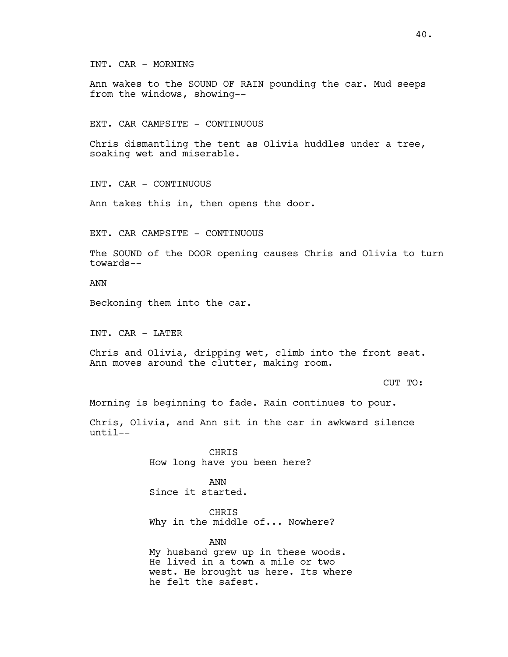INT. CAR - MORNING

Ann wakes to the SOUND OF RAIN pounding the car. Mud seeps from the windows, showing--

EXT. CAR CAMPSITE - CONTINUOUS

Chris dismantling the tent as Olivia huddles under a tree, soaking wet and miserable.

INT. CAR - CONTINUOUS

Ann takes this in, then opens the door.

EXT. CAR CAMPSITE - CONTINUOUS

The SOUND of the DOOR opening causes Chris and Olivia to turn towards--

ANN

Beckoning them into the car.

INT. CAR - LATER

Chris and Olivia, dripping wet, climb into the front seat. Ann moves around the clutter, making room.

CUT TO:

Morning is beginning to fade. Rain continues to pour.

Chris, Olivia, and Ann sit in the car in awkward silence until--

> CHRIS How long have you been here?

ANN Since it started.

CHRIS Why in the middle of... Nowhere?

ANN My husband grew up in these woods. He lived in a town a mile or two west. He brought us here. Its where he felt the safest.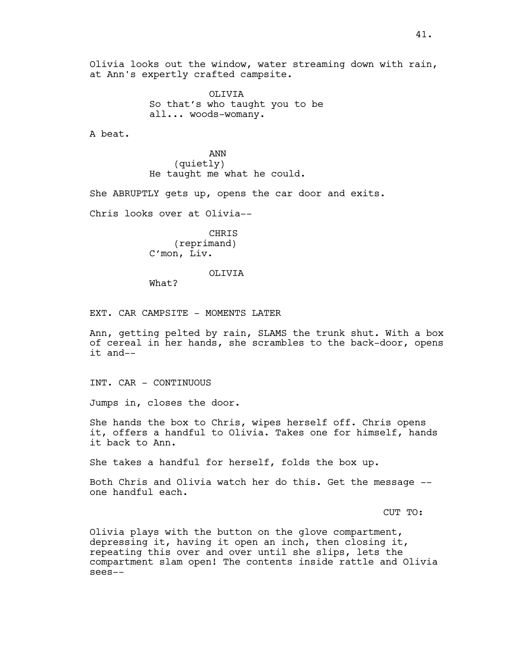Olivia looks out the window, water streaming down with rain, at Ann's expertly crafted campsite.

> OLIVIA So that's who taught you to be all... woods-womany.

A beat.

ANN (quietly) He taught me what he could.

She ABRUPTLY gets up, opens the car door and exits.

Chris looks over at Olivia--

CHRIS (reprimand) C'mon, Liv.

OLIVIA

What?

EXT. CAR CAMPSITE - MOMENTS LATER

Ann, getting pelted by rain, SLAMS the trunk shut. With a box of cereal in her hands, she scrambles to the back-door, opens it and--

INT. CAR - CONTINUOUS

Jumps in, closes the door.

She hands the box to Chris, wipes herself off. Chris opens it, offers a handful to Olivia. Takes one for himself, hands it back to Ann.

She takes a handful for herself, folds the box up.

Both Chris and Olivia watch her do this. Get the message - one handful each.

CUT TO:

Olivia plays with the button on the glove compartment, depressing it, having it open an inch, then closing it, repeating this over and over until she slips, lets the compartment slam open! The contents inside rattle and Olivia sees--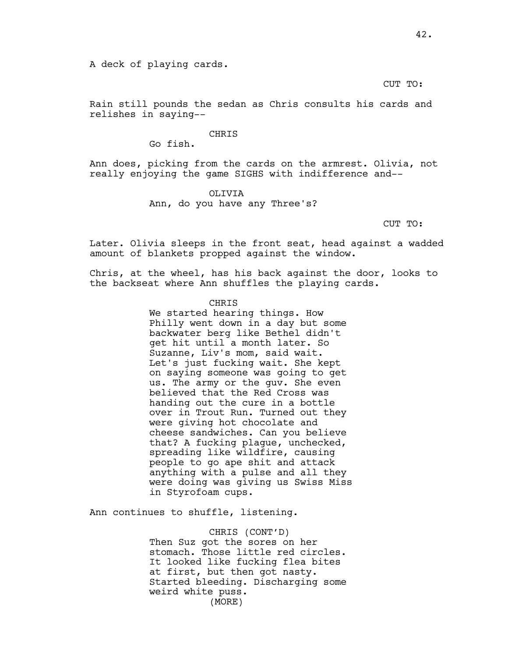CUT TO:

Rain still pounds the sedan as Chris consults his cards and relishes in saying--

#### CHRIS

Go fish.

Ann does, picking from the cards on the armrest. Olivia, not really enjoying the game SIGHS with indifference and--

# OLIVIA Ann, do you have any Three's?

CUT TO:

Later. Olivia sleeps in the front seat, head against a wadded amount of blankets propped against the window.

Chris, at the wheel, has his back against the door, looks to the backseat where Ann shuffles the playing cards.

## **CHRIS**

We started hearing things. How Philly went down in a day but some backwater berg like Bethel didn't get hit until a month later. So Suzanne, Liv's mom, said wait. Let's just fucking wait. She kept on saying someone was going to get us. The army or the guv. She even believed that the Red Cross was handing out the cure in a bottle over in Trout Run. Turned out they were giving hot chocolate and cheese sandwiches. Can you believe that? A fucking plague, unchecked, spreading like wildfire, causing people to go ape shit and attack anything with a pulse and all they were doing was giving us Swiss Miss in Styrofoam cups.

Ann continues to shuffle, listening.

CHRIS (CONT'D) Then Suz got the sores on her stomach. Those little red circles. It looked like fucking flea bites at first, but then got nasty. Started bleeding. Discharging some weird white puss. (MORE)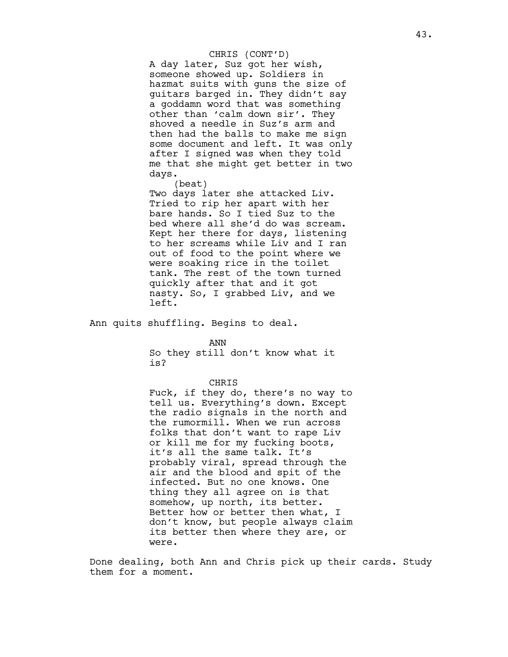#### CHRIS (CONT'D)

A day later, Suz got her wish, someone showed up. Soldiers in hazmat suits with guns the size of guitars barged in. They didn't say a goddamn word that was something other than 'calm down sir'. They shoved a needle in Suz's arm and then had the balls to make me sign some document and left. It was only after I signed was when they told me that she might get better in two days.

(beat)

Two days later she attacked Liv. Tried to rip her apart with her bare hands. So I tied Suz to the bed where all she'd do was scream. Kept her there for days, listening to her screams while Liv and I ran out of food to the point where we were soaking rice in the toilet tank. The rest of the town turned quickly after that and it got nasty. So, I grabbed Liv, and we left.

Ann quits shuffling. Begins to deal.

ANN

So they still don't know what it is?

#### CHRIS

Fuck, if they do, there's no way to tell us. Everything's down. Except the radio signals in the north and the rumormill. When we run across folks that don't want to rape Liv or kill me for my fucking boots, it's all the same talk. It's probably viral, spread through the air and the blood and spit of the infected. But no one knows. One thing they all agree on is that somehow, up north, its better. Better how or better then what, I don't know, but people always claim its better then where they are, or were.

Done dealing, both Ann and Chris pick up their cards. Study them for a moment.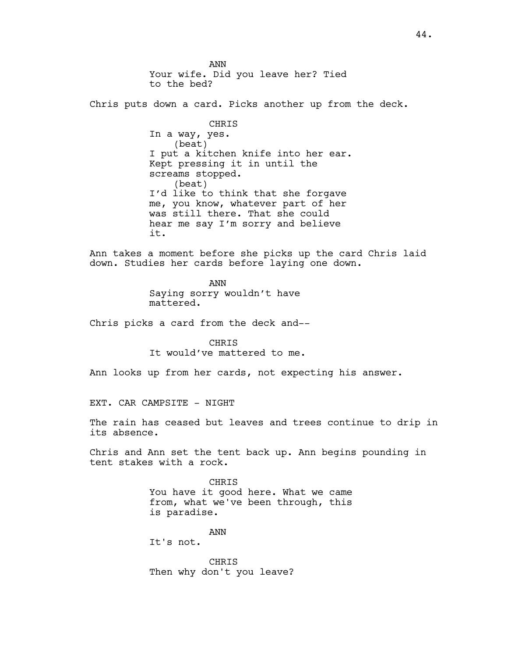ANN Your wife. Did you leave her? Tied to the bed? Chris puts down a card. Picks another up from the deck. CHRIS In a way, yes. (beat) I put a kitchen knife into her ear. Kept pressing it in until the screams stopped. (beat) I'd like to think that she forgave me, you know, whatever part of her was still there. That she could hear me say I'm sorry and believe it. Ann takes a moment before she picks up the card Chris laid down. Studies her cards before laying one down. ANN Saying sorry wouldn't have mattered. Chris picks a card from the deck and-- CHRIS It would've mattered to me. Ann looks up from her cards, not expecting his answer. EXT. CAR CAMPSITE - NIGHT The rain has ceased but leaves and trees continue to drip in its absence. Chris and Ann set the tent back up. Ann begins pounding in tent stakes with a rock. **CHRTS** You have it good here. What we came from, what we've been through, this is paradise. ANN It's not. CHRIS Then why don't you leave?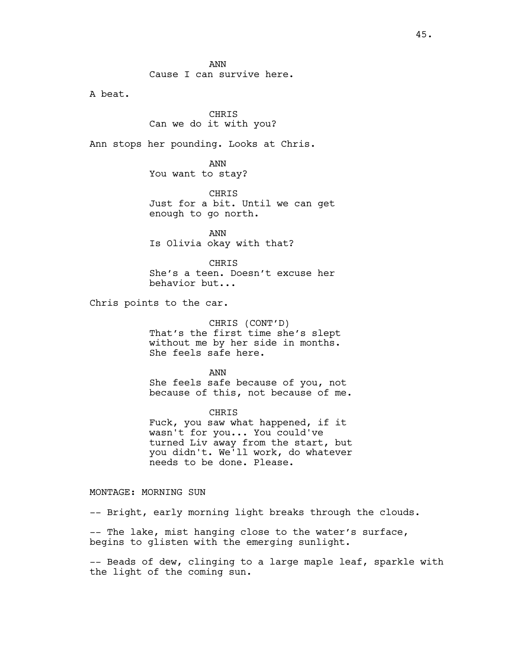ANN Cause I can survive here.

A beat.

CHRIS Can we do it with you?

Ann stops her pounding. Looks at Chris.

ANN You want to stay?

**CHRTS** Just for a bit. Until we can get enough to go north.

ANN Is Olivia okay with that?

**CHRTS** She's a teen. Doesn't excuse her behavior but...

Chris points to the car.

CHRIS (CONT'D) That's the first time she's slept without me by her side in months. She feels safe here.

ANN She feels safe because of you, not because of this, not because of me.

CHRIS Fuck, you saw what happened, if it wasn't for you... You could've turned Liv away from the start, but you didn't. We'll work, do whatever needs to be done. Please.

MONTAGE: MORNING SUN

-- Bright, early morning light breaks through the clouds.

-- The lake, mist hanging close to the water's surface, begins to glisten with the emerging sunlight.

-- Beads of dew, clinging to a large maple leaf, sparkle with the light of the coming sun.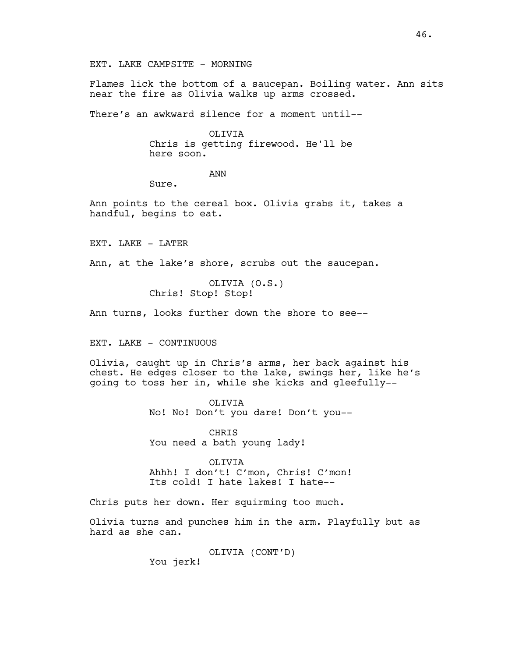EXT. LAKE CAMPSITE - MORNING

Flames lick the bottom of a saucepan. Boiling water. Ann sits near the fire as Olivia walks up arms crossed.

There's an awkward silence for a moment until--

OLIVIA Chris is getting firewood. He'll be here soon.

ANN

Sure.

Ann points to the cereal box. Olivia grabs it, takes a handful, begins to eat.

EXT. LAKE - LATER

Ann, at the lake's shore, scrubs out the saucepan.

OLIVIA (O.S.) Chris! Stop! Stop!

Ann turns, looks further down the shore to see--

EXT. LAKE - CONTINUOUS

Olivia, caught up in Chris's arms, her back against his chest. He edges closer to the lake, swings her, like he's going to toss her in, while she kicks and gleefully--

> OLIVIA No! No! Don't you dare! Don't you--

CHRIS You need a bath young lady!

OLIVIA Ahhh! I don't! C'mon, Chris! C'mon! Its cold! I hate lakes! I hate--

Chris puts her down. Her squirming too much.

Olivia turns and punches him in the arm. Playfully but as hard as she can.

> OLIVIA (CONT'D) You jerk!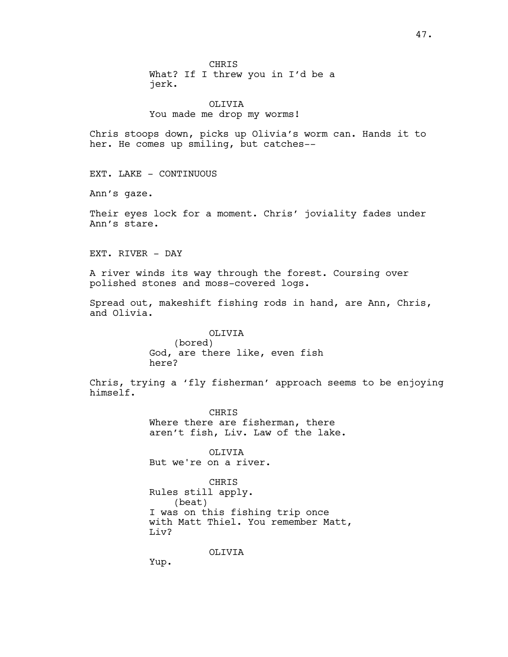**CHRTS** What? If I threw you in I'd be a jerk.

OLIVIA You made me drop my worms!

Chris stoops down, picks up Olivia's worm can. Hands it to her. He comes up smiling, but catches--

EXT. LAKE - CONTINUOUS

Ann's gaze.

Their eyes lock for a moment. Chris' joviality fades under Ann's stare.

EXT. RIVER - DAY

A river winds its way through the forest. Coursing over polished stones and moss-covered logs.

Spread out, makeshift fishing rods in hand, are Ann, Chris, and Olivia.

> OLIVIA (bored) God, are there like, even fish here?

Chris, trying a 'fly fisherman' approach seems to be enjoying himself.

> **CHRTS** Where there are fisherman, there aren't fish, Liv. Law of the lake.

OLIVIA But we're on a river.

CHRIS Rules still apply. (beat) I was on this fishing trip once with Matt Thiel. You remember Matt, Liv?

OLIVIA

Yup.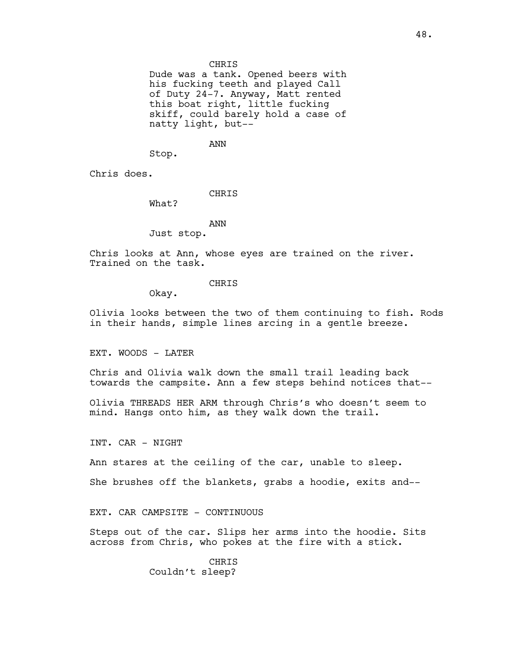Dude was a tank. Opened beers with his fucking teeth and played Call of Duty 24-7. Anyway, Matt rented this boat right, little fucking skiff, could barely hold a case of natty light, but--

ANN

Stop.

Chris does.

**CHRTS** 

What?

## ANN

Just stop.

Chris looks at Ann, whose eyes are trained on the river. Trained on the task.

## **CHRTS**

Okay.

Olivia looks between the two of them continuing to fish. Rods in their hands, simple lines arcing in a gentle breeze.

EXT. WOODS - LATER

Chris and Olivia walk down the small trail leading back towards the campsite. Ann a few steps behind notices that--

Olivia THREADS HER ARM through Chris's who doesn't seem to mind. Hangs onto him, as they walk down the trail.

INT. CAR - NIGHT

Ann stares at the ceiling of the car, unable to sleep.

She brushes off the blankets, grabs a hoodie, exits and--

EXT. CAR CAMPSITE - CONTINUOUS

Steps out of the car. Slips her arms into the hoodie. Sits across from Chris, who pokes at the fire with a stick.

> CHRIS Couldn't sleep?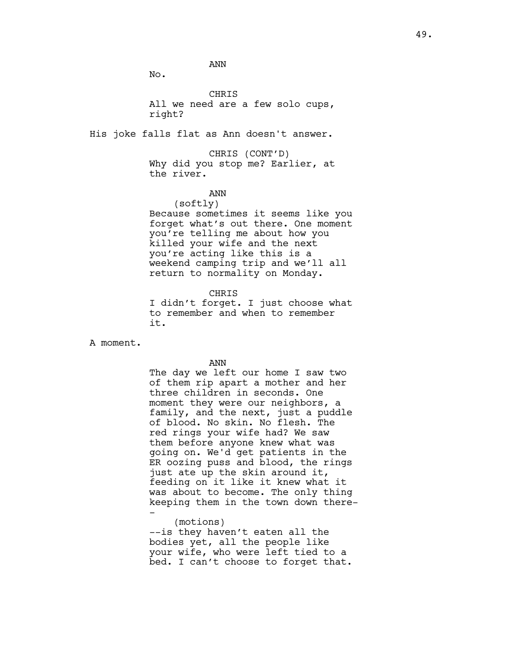ANN

No.

CHRIS All we need are a few solo cups, right?

His joke falls flat as Ann doesn't answer.

CHRIS (CONT'D) Why did you stop me? Earlier, at the river.

ANN

(softly) Because sometimes it seems like you forget what's out there. One moment you're telling me about how you killed your wife and the next you're acting like this is a weekend camping trip and we'll all return to normality on Monday.

CHRIS I didn't forget. I just choose what to remember and when to remember it.

A moment.

ANN

The day we left our home I saw two of them rip apart a mother and her three children in seconds. One moment they were our neighbors, a family, and the next, just a puddle of blood. No skin. No flesh. The red rings your wife had? We saw them before anyone knew what was going on. We'd get patients in the ER oozing puss and blood, the rings just ate up the skin around it, feeding on it like it knew what it was about to become. The only thing keeping them in the town down there- -

(motions) --is they haven't eaten all the bodies yet, all the people like your wife, who were left tied to a bed. I can't choose to forget that.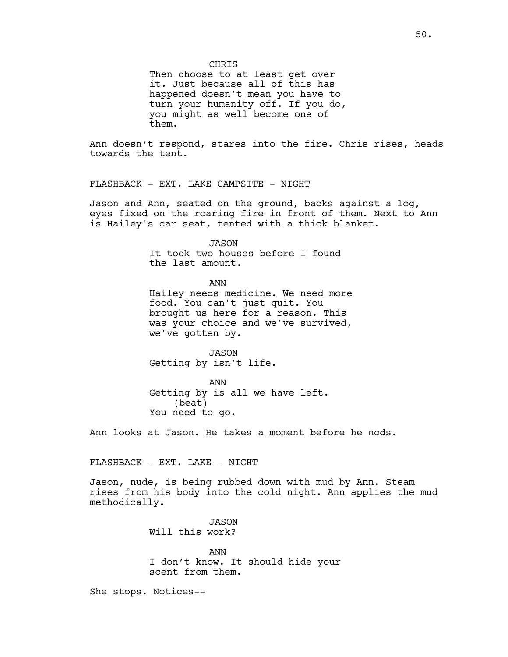**CHRTS** 

Then choose to at least get over it. Just because all of this has happened doesn't mean you have to turn your humanity off. If you do, you might as well become one of them.

Ann doesn't respond, stares into the fire. Chris rises, heads towards the tent.

FLASHBACK - EXT. LAKE CAMPSITE - NIGHT

Jason and Ann, seated on the ground, backs against a log, eyes fixed on the roaring fire in front of them. Next to Ann is Hailey's car seat, tented with a thick blanket.

> JASON It took two houses before I found the last amount.

> > ANN

Hailey needs medicine. We need more food. You can't just quit. You brought us here for a reason. This was your choice and we've survived, we've gotten by.

JASON Getting by isn't life.

ANN Getting by is all we have left. (beat) You need to go.

Ann looks at Jason. He takes a moment before he nods.

FLASHBACK - EXT. LAKE - NIGHT

Jason, nude, is being rubbed down with mud by Ann. Steam rises from his body into the cold night. Ann applies the mud methodically.

> JASON Will this work?

ANN I don't know. It should hide your scent from them.

She stops. Notices--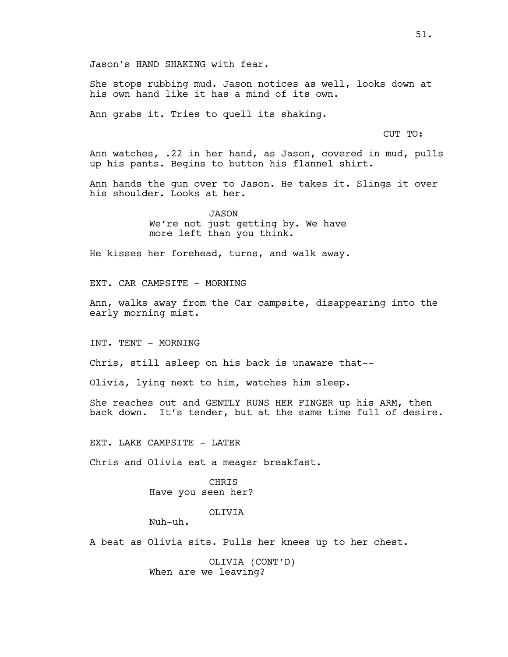Jason's HAND SHAKING with fear.

She stops rubbing mud. Jason notices as well, looks down at his own hand like it has a mind of its own.

Ann grabs it. Tries to quell its shaking.

CUT TO:

Ann watches, .22 in her hand, as Jason, covered in mud, pulls up his pants. Begins to button his flannel shirt.

Ann hands the gun over to Jason. He takes it. Slings it over his shoulder. Looks at her.

> JASON We're not just getting by. We have more left than you think.

He kisses her forehead, turns, and walk away.

EXT. CAR CAMPSITE - MORNING

Ann, walks away from the Car campsite, disappearing into the early morning mist.

INT. TENT - MORNING

Chris, still asleep on his back is unaware that--

Olivia, lying next to him, watches him sleep.

She reaches out and GENTLY RUNS HER FINGER up his ARM, then back down. It's tender, but at the same time full of desire.

EXT. LAKE CAMPSITE - LATER

Chris and Olivia eat a meager breakfast.

CHRIS Have you seen her?

OLIVIA

Nuh-uh.

A beat as Olivia sits. Pulls her knees up to her chest.

OLIVIA (CONT'D) When are we leaving?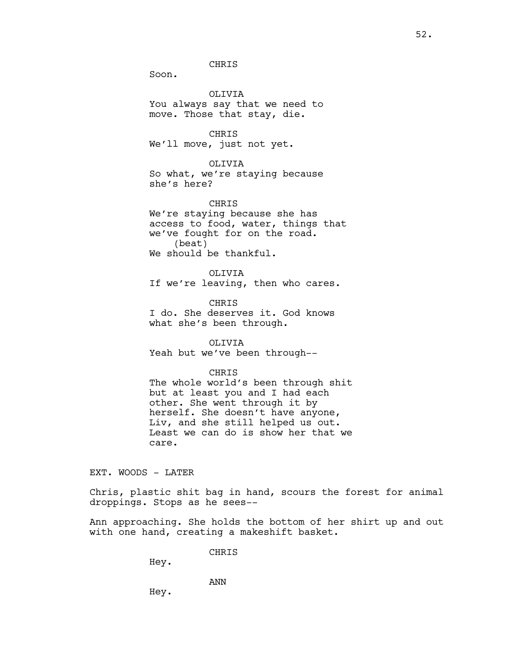Soon.

OLIVIA You always say that we need to move. Those that stay, die.

CHRIS We'll move, just not yet.

OLIVIA

So what, we're staying because she's here?

CHRIS We're staying because she has access to food, water, things that we've fought for on the road. (beat) We should be thankful.

OLIVIA If we're leaving, then who cares.

**CHRTS** I do. She deserves it. God knows what she's been through.

OLIVIA Yeah but we've been through--

**CHRTS** The whole world's been through shit but at least you and I had each other. She went through it by herself. She doesn't have anyone, Liv, and she still helped us out. Least we can do is show her that we care.

EXT. WOODS - LATER

Chris, plastic shit bag in hand, scours the forest for animal droppings. Stops as he sees--

Ann approaching. She holds the bottom of her shirt up and out with one hand, creating a makeshift basket.

CHRIS

Hey.

ANN

Hey.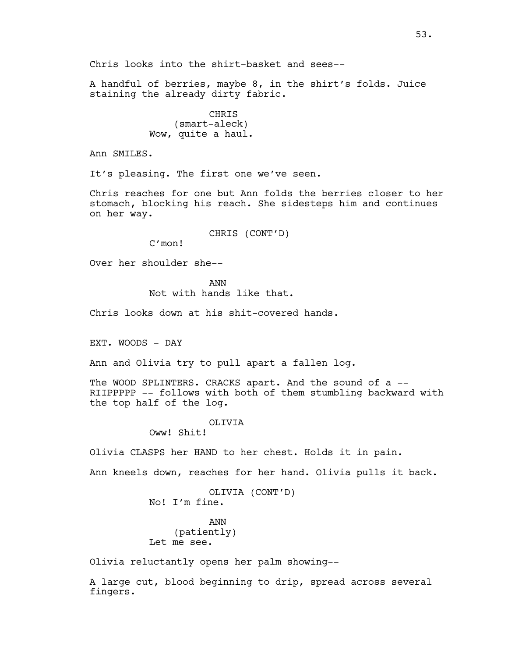Chris looks into the shirt-basket and sees--

A handful of berries, maybe 8, in the shirt's folds. Juice staining the already dirty fabric.

> CHRIS (smart-aleck) Wow, quite a haul.

Ann SMILES.

It's pleasing. The first one we've seen.

Chris reaches for one but Ann folds the berries closer to her stomach, blocking his reach. She sidesteps him and continues on her way.

CHRIS (CONT'D)

C'mon!

Over her shoulder she--

ANN Not with hands like that.

Chris looks down at his shit-covered hands.

EXT. WOODS - DAY

Ann and Olivia try to pull apart a fallen log.

The WOOD SPLINTERS. CRACKS apart. And the sound of a --RIIPPPPP -- follows with both of them stumbling backward with the top half of the log.

### OLIVIA

Oww! Shit!

Olivia CLASPS her HAND to her chest. Holds it in pain.

Ann kneels down, reaches for her hand. Olivia pulls it back.

OLIVIA (CONT'D) No! I'm fine.

ANN (patiently) Let me see.

Olivia reluctantly opens her palm showing--

A large cut, blood beginning to drip, spread across several fingers.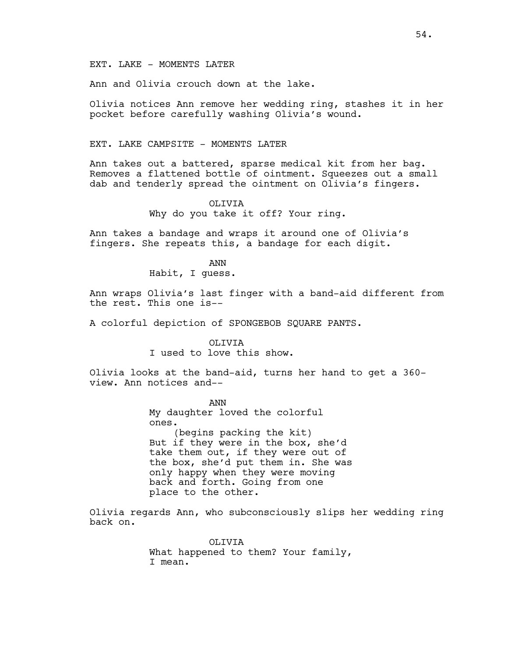EXT. LAKE - MOMENTS LATER

Ann and Olivia crouch down at the lake.

Olivia notices Ann remove her wedding ring, stashes it in her pocket before carefully washing Olivia's wound.

### EXT. LAKE CAMPSITE - MOMENTS LATER

Ann takes out a battered, sparse medical kit from her bag. Removes a flattened bottle of ointment. Squeezes out a small dab and tenderly spread the ointment on Olivia's fingers.

#### OLIVIA

Why do you take it off? Your ring.

Ann takes a bandage and wraps it around one of Olivia's fingers. She repeats this, a bandage for each digit.

> ANN Habit, I guess.

Ann wraps Olivia's last finger with a band-aid different from the rest. This one is--

A colorful depiction of SPONGEBOB SQUARE PANTS.

OLIVIA I used to love this show.

Olivia looks at the band-aid, turns her hand to get a 360 view. Ann notices and--

> ANN My daughter loved the colorful ones. (begins packing the kit) But if they were in the box, she'd take them out, if they were out of the box, she'd put them in. She was only happy when they were moving back and forth. Going from one place to the other.

Olivia regards Ann, who subconsciously slips her wedding ring back on.

> OLIVIA What happened to them? Your family, I mean.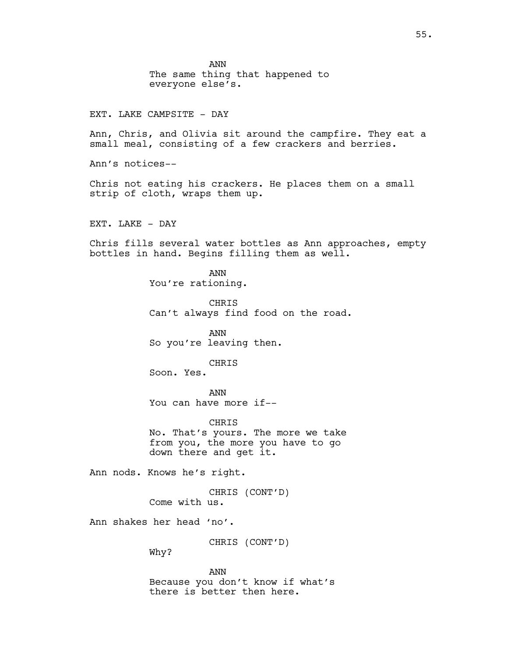EXT. LAKE CAMPSITE - DAY

Ann, Chris, and Olivia sit around the campfire. They eat a small meal, consisting of a few crackers and berries.

Ann's notices--

Chris not eating his crackers. He places them on a small strip of cloth, wraps them up.

EXT. LAKE - DAY

Chris fills several water bottles as Ann approaches, empty bottles in hand. Begins filling them as well.

> ANN You're rationing.

**CHRIS** Can't always find food on the road.

ANN So you're leaving then.

CHRIS

Soon. Yes.

ANN You can have more if--

CHRIS No. That's yours. The more we take

from you, the more you have to go down there and get it.

Ann nods. Knows he's right.

CHRIS (CONT'D) Come with us.

Ann shakes her head 'no'.

CHRIS (CONT'D)

Why?

ANN Because you don't know if what's there is better then here.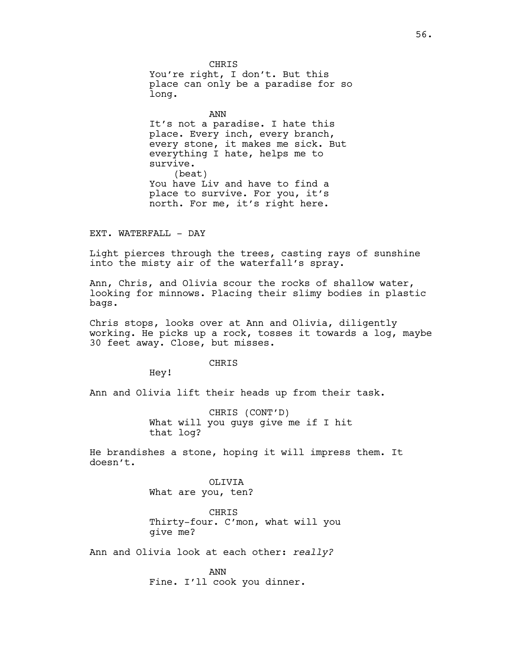**CHRIS** You're right, I don't. But this place can only be a paradise for so long.

ANN It's not a paradise. I hate this place. Every inch, every branch, every stone, it makes me sick. But everything I hate, helps me to survive. (beat) You have Liv and have to find a place to survive. For you, it's north. For me, it's right here.

EXT. WATERFALL - DAY

Light pierces through the trees, casting rays of sunshine into the misty air of the waterfall's spray.

Ann, Chris, and Olivia scour the rocks of shallow water, looking for minnows. Placing their slimy bodies in plastic bags.

Chris stops, looks over at Ann and Olivia, diligently working. He picks up a rock, tosses it towards a log, maybe 30 feet away. Close, but misses.

CHRIS

Hey!

Ann and Olivia lift their heads up from their task.

CHRIS (CONT'D) What will you guys give me if I hit that log?

He brandishes a stone, hoping it will impress them. It doesn't.

> OLIVIA What are you, ten?

CHRIS Thirty-four. C'mon, what will you give me?

Ann and Olivia look at each other: *really?*

ANN Fine. I'll cook you dinner.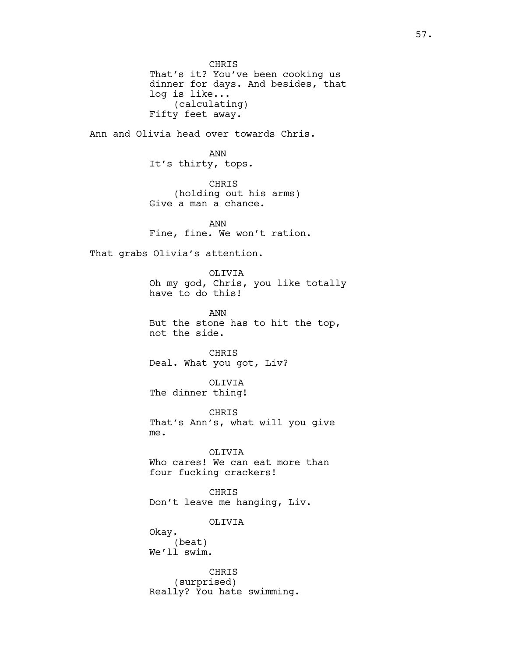CHRIS That's it? You've been cooking us dinner for days. And besides, that log is like... (calculating) Fifty feet away.

Ann and Olivia head over towards Chris.

ANN It's thirty, tops.

CHRIS (holding out his arms) Give a man a chance.

ANN Fine, fine. We won't ration.

That grabs Olivia's attention.

OLIVIA Oh my god, Chris, you like totally have to do this!

ANN But the stone has to hit the top, not the side.

CHRIS Deal. What you got, Liv?

OLIVIA The dinner thing!

CHRIS That's Ann's, what will you give me.

OLIVIA Who cares! We can eat more than four fucking crackers!

CHRIS Don't leave me hanging, Liv.

OLIVIA

Okay. (beat) We'll swim.

CHRIS (surprised) Really? You hate swimming.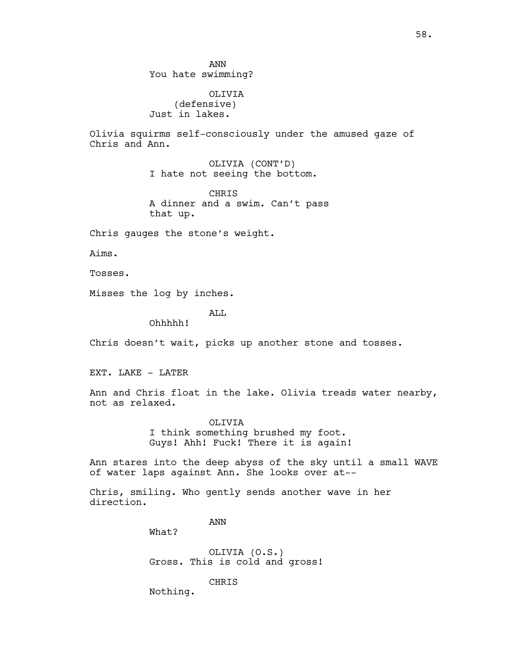ANN You hate swimming?

OLIVIA (defensive) Just in lakes.

Olivia squirms self-consciously under the amused gaze of Chris and Ann.

> OLIVIA (CONT'D) I hate not seeing the bottom.

**CHRIS** A dinner and a swim. Can't pass that up.

Chris gauges the stone's weight.

Aims.

Tosses.

Misses the log by inches.

ALL

Ohhhhh!

Chris doesn't wait, picks up another stone and tosses.

EXT. LAKE - LATER

Ann and Chris float in the lake. Olivia treads water nearby, not as relaxed.

OLIVIA

I think something brushed my foot. Guys! Ahh! Fuck! There it is again!

Ann stares into the deep abyss of the sky until a small WAVE of water laps against Ann. She looks over at--

Chris, smiling. Who gently sends another wave in her direction.

ANN

What?

OLIVIA (O.S.) Gross. This is cold and gross!

CHRIS

Nothing.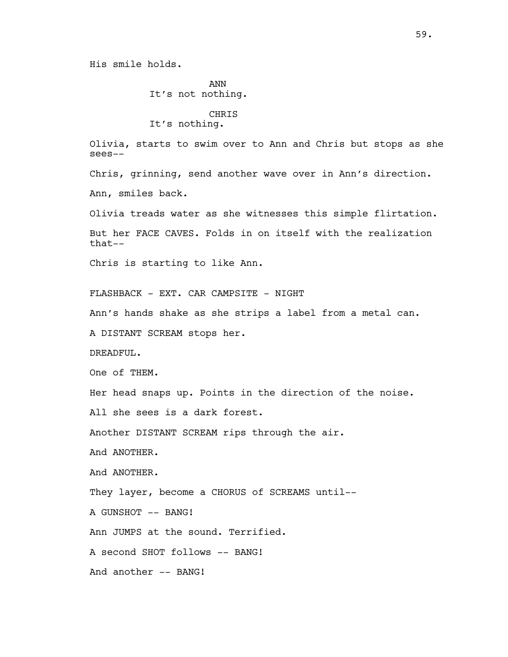# His smile holds.

ANN It's not nothing. CHRIS

It's nothing.

Olivia, starts to swim over to Ann and Chris but stops as she sees--

Chris, grinning, send another wave over in Ann's direction. Ann, smiles back.

Olivia treads water as she witnesses this simple flirtation. But her FACE CAVES. Folds in on itself with the realization that--

Chris is starting to like Ann.

FLASHBACK - EXT. CAR CAMPSITE - NIGHT

Ann's hands shake as she strips a label from a metal can.

A DISTANT SCREAM stops her.

DREADFUL.

One of THEM.

Her head snaps up. Points in the direction of the noise.

All she sees is a dark forest.

Another DISTANT SCREAM rips through the air.

And ANOTHER.

And ANOTHER.

They layer, become a CHORUS of SCREAMS until--

A GUNSHOT -- BANG!

Ann JUMPS at the sound. Terrified.

A second SHOT follows -- BANG!

And another -- BANG!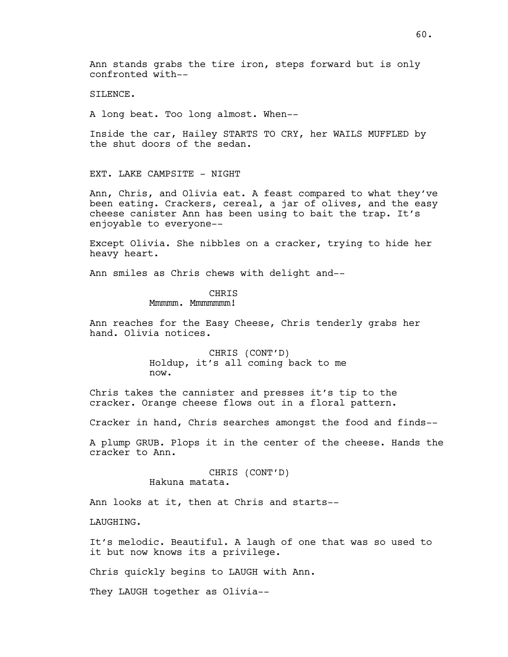Ann stands grabs the tire iron, steps forward but is only confronted with--

SILENCE.

A long beat. Too long almost. When--

Inside the car, Hailey STARTS TO CRY, her WAILS MUFFLED by the shut doors of the sedan.

EXT. LAKE CAMPSITE - NIGHT

Ann, Chris, and Olivia eat. A feast compared to what they've been eating. Crackers, cereal, a jar of olives, and the easy cheese canister Ann has been using to bait the trap. It's enjoyable to everyone--

Except Olivia. She nibbles on a cracker, trying to hide her heavy heart.

Ann smiles as Chris chews with delight and--

CHRIS

Mmmmm. Mmmmmmmun!

Ann reaches for the Easy Cheese, Chris tenderly grabs her hand. Olivia notices.

> CHRIS (CONT'D) Holdup, it's all coming back to me now.

Chris takes the cannister and presses it's tip to the cracker. Orange cheese flows out in a floral pattern.

Cracker in hand, Chris searches amongst the food and finds--

A plump GRUB. Plops it in the center of the cheese. Hands the cracker to Ann.

> CHRIS (CONT'D) Hakuna matata.

Ann looks at it, then at Chris and starts--

LAUGHING.

It's melodic. Beautiful. A laugh of one that was so used to it but now knows its a privilege.

Chris quickly begins to LAUGH with Ann.

They LAUGH together as Olivia--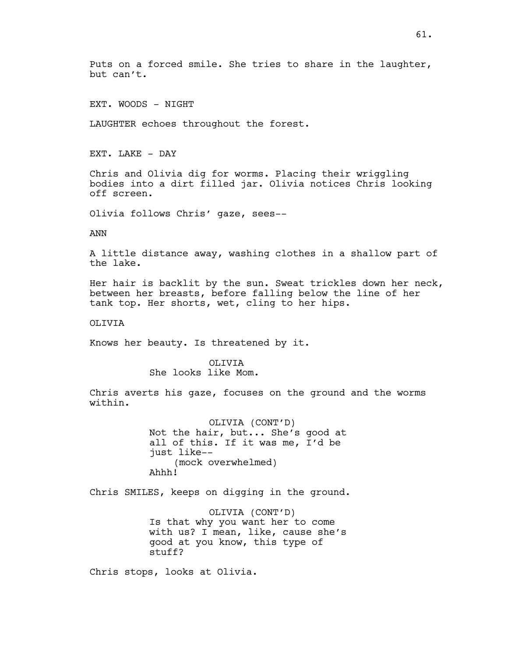Puts on a forced smile. She tries to share in the laughter, but can't.

EXT. WOODS - NIGHT

LAUGHTER echoes throughout the forest.

EXT. LAKE - DAY

Chris and Olivia dig for worms. Placing their wriggling bodies into a dirt filled jar. Olivia notices Chris looking off screen.

Olivia follows Chris' gaze, sees--

ANN

A little distance away, washing clothes in a shallow part of the lake.

Her hair is backlit by the sun. Sweat trickles down her neck, between her breasts, before falling below the line of her tank top. Her shorts, wet, cling to her hips.

OLIVIA

Knows her beauty. Is threatened by it.

#### OLIVIA She looks like Mom.

Chris averts his gaze, focuses on the ground and the worms within.

> OLIVIA (CONT'D) Not the hair, but... She's good at all of this. If it was me, I'd be just like-- (mock overwhelmed) Ahhh!

Chris SMILES, keeps on digging in the ground.

OLIVIA (CONT'D) Is that why you want her to come with us? I mean, like, cause she's good at you know, this type of stuff?

Chris stops, looks at Olivia.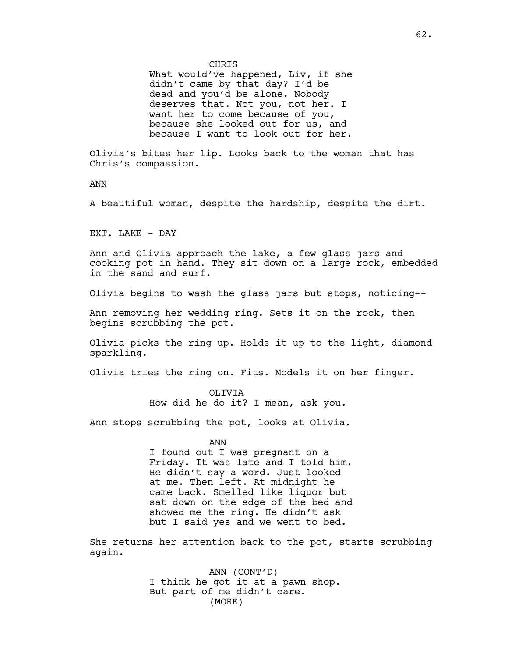**CHRIS** 

What would've happened, Liv, if she didn't came by that day? I'd be dead and you'd be alone. Nobody deserves that. Not you, not her. I want her to come because of you, because she looked out for us, and because I want to look out for her.

Olivia's bites her lip. Looks back to the woman that has Chris's compassion.

ANN

A beautiful woman, despite the hardship, despite the dirt.

EXT. LAKE - DAY

Ann and Olivia approach the lake, a few glass jars and cooking pot in hand. They sit down on a large rock, embedded in the sand and surf.

Olivia begins to wash the glass jars but stops, noticing--

Ann removing her wedding ring. Sets it on the rock, then begins scrubbing the pot.

Olivia picks the ring up. Holds it up to the light, diamond sparkling.

Olivia tries the ring on. Fits. Models it on her finger.

OLIVIA

How did he do it? I mean, ask you.

Ann stops scrubbing the pot, looks at Olivia.

ANN

I found out I was pregnant on a Friday. It was late and I told him. He didn't say a word. Just looked at me. Then left. At midnight he came back. Smelled like liquor but sat down on the edge of the bed and showed me the ring. He didn't ask but I said yes and we went to bed.

She returns her attention back to the pot, starts scrubbing again.

> ANN (CONT'D) I think he got it at a pawn shop. But part of me didn't care. (MORE)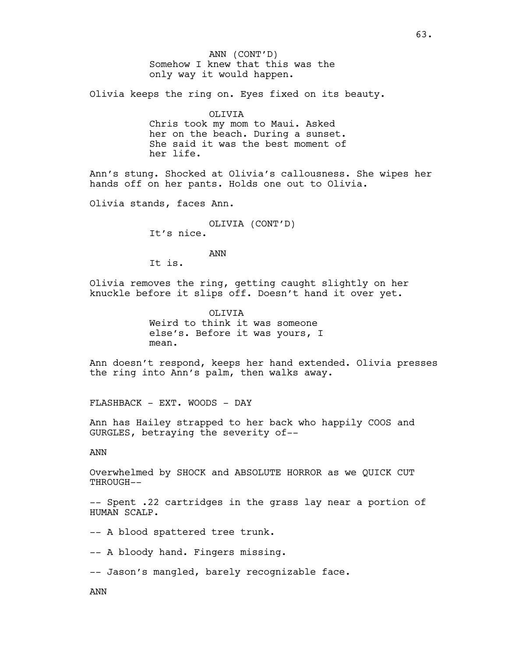Somehow I knew that this was the only way it would happen. ANN (CONT'D)

Olivia keeps the ring on. Eyes fixed on its beauty.

OLIVIA Chris took my mom to Maui. Asked her on the beach. During a sunset. She said it was the best moment of

Ann's stung. Shocked at Olivia's callousness. She wipes her hands off on her pants. Holds one out to Olivia.

Olivia stands, faces Ann.

her life.

OLIVIA (CONT'D) It's nice.

ANN

It is.

Olivia removes the ring, getting caught slightly on her knuckle before it slips off. Doesn't hand it over yet.

> OLIVIA Weird to think it was someone else's. Before it was yours, I mean.

Ann doesn't respond, keeps her hand extended. Olivia presses the ring into Ann's palm, then walks away.

FLASHBACK - EXT. WOODS - DAY

Ann has Hailey strapped to her back who happily COOS and GURGLES, betraying the severity of--

ANN

Overwhelmed by SHOCK and ABSOLUTE HORROR as we QUICK CUT THROUGH--

-- Spent .22 cartridges in the grass lay near a portion of HUMAN SCALP.

- -- A blood spattered tree trunk.
- -- A bloody hand. Fingers missing.
- -- Jason's mangled, barely recognizable face.

ANN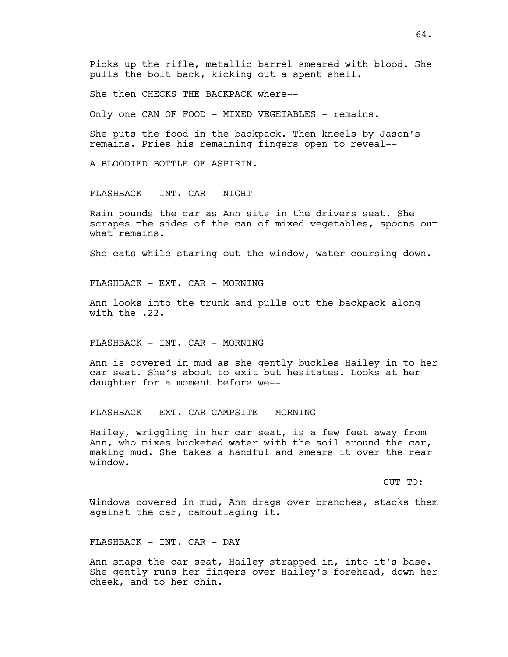Picks up the rifle, metallic barrel smeared with blood. She pulls the bolt back, kicking out a spent shell.

She then CHECKS THE BACKPACK where--

Only one CAN OF FOOD - MIXED VEGETABLES - remains.

She puts the food in the backpack. Then kneels by Jason's remains. Pries his remaining fingers open to reveal--

A BLOODIED BOTTLE OF ASPIRIN.

FLASHBACK - INT. CAR - NIGHT

Rain pounds the car as Ann sits in the drivers seat. She scrapes the sides of the can of mixed vegetables, spoons out what remains.

She eats while staring out the window, water coursing down.

FLASHBACK - EXT. CAR - MORNING

Ann looks into the trunk and pulls out the backpack along with the .22.

FLASHBACK - INT. CAR - MORNING

Ann is covered in mud as she gently buckles Hailey in to her car seat. She's about to exit but hesitates. Looks at her daughter for a moment before we--

FLASHBACK - EXT. CAR CAMPSITE - MORNING

Hailey, wriggling in her car seat, is a few feet away from Ann, who mixes bucketed water with the soil around the car, making mud. She takes a handful and smears it over the rear window.

CUT TO:

Windows covered in mud, Ann drags over branches, stacks them against the car, camouflaging it.

FLASHBACK - INT. CAR - DAY

Ann snaps the car seat, Hailey strapped in, into it's base. She gently runs her fingers over Hailey's forehead, down her cheek, and to her chin.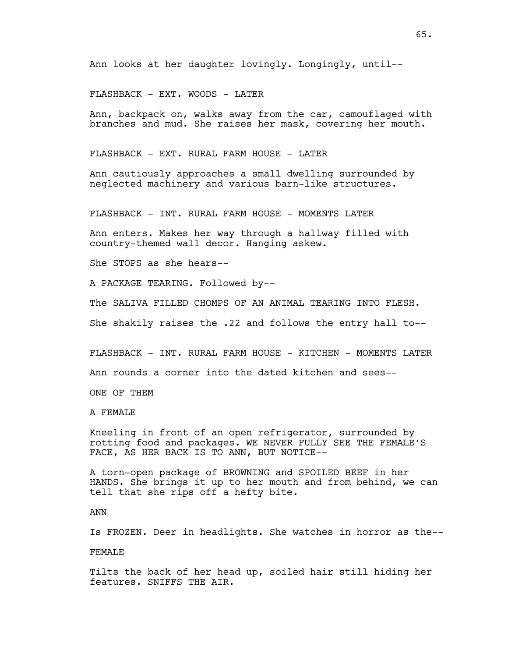FLASHBACK - EXT. WOODS - LATER

Ann, backpack on, walks away from the car, camouflaged with branches and mud. She raises her mask, covering her mouth.

FLASHBACK - EXT. RURAL FARM HOUSE - LATER

Ann cautiously approaches a small dwelling surrounded by neglected machinery and various barn-like structures.

FLASHBACK - INT. RURAL FARM HOUSE - MOMENTS LATER

Ann enters. Makes her way through a hallway filled with country-themed wall decor. Hanging askew.

She STOPS as she hears--

A PACKAGE TEARING. Followed by--

The SALIVA FILLED CHOMPS OF AN ANIMAL TEARING INTO FLESH.

She shakily raises the .22 and follows the entry hall to--

FLASHBACK - INT. RURAL FARM HOUSE - KITCHEN - MOMENTS LATER

Ann rounds a corner into the dated kitchen and sees--

ONE OF THEM

A FEMALE

Kneeling in front of an open refrigerator, surrounded by rotting food and packages. WE NEVER FULLY SEE THE FEMALE'S FACE, AS HER BACK IS TO ANN, BUT NOTICE--

A torn-open package of BROWNING and SPOILED BEEF in her HANDS. She brings it up to her mouth and from behind, we can tell that she rips off a hefty bite.

ANN

Is FROZEN. Deer in headlights. She watches in horror as the--

FEMALE

Tilts the back of her head up, soiled hair still hiding her features. SNIFFS THE AIR.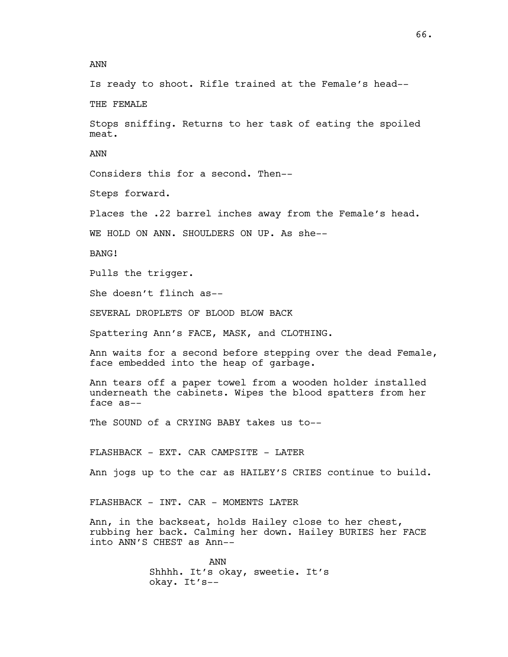ANN Is ready to shoot. Rifle trained at the Female's head-- THE FEMALE Stops sniffing. Returns to her task of eating the spoiled meat. ANN Considers this for a second. Then-- Steps forward. Places the .22 barrel inches away from the Female's head. WE HOLD ON ANN. SHOULDERS ON UP. As she-- BANG! Pulls the trigger. She doesn't flinch as-- SEVERAL DROPLETS OF BLOOD BLOW BACK Spattering Ann's FACE, MASK, and CLOTHING. Ann waits for a second before stepping over the dead Female, face embedded into the heap of garbage. Ann tears off a paper towel from a wooden holder installed underneath the cabinets. Wipes the blood spatters from her face as-- The SOUND of a CRYING BABY takes us to-- FLASHBACK - EXT. CAR CAMPSITE - LATER Ann jogs up to the car as HAILEY'S CRIES continue to build. FLASHBACK - INT. CAR - MOMENTS LATER Ann, in the backseat, holds Hailey close to her chest, rubbing her back. Calming her down. Hailey BURIES her FACE into ANN'S CHEST as Ann-- ANN Shhhh. It's okay, sweetie. It's okay. It's--

66.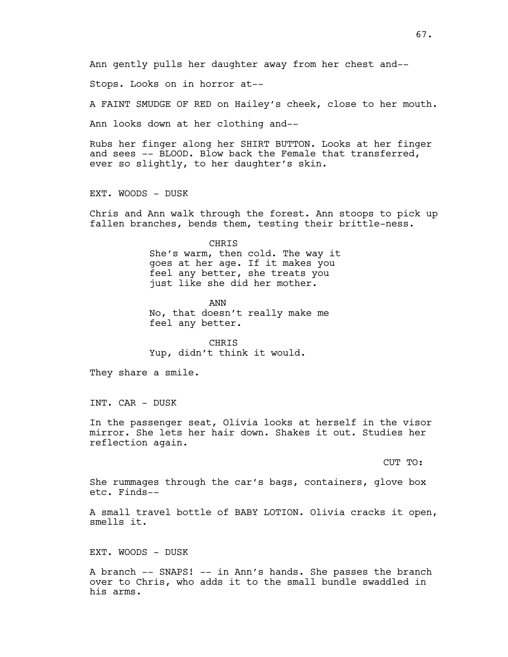Ann gently pulls her daughter away from her chest and--

Stops. Looks on in horror at--

A FAINT SMUDGE OF RED on Hailey's cheek, close to her mouth.

Ann looks down at her clothing and--

Rubs her finger along her SHIRT BUTTON. Looks at her finger and sees -- BLOOD. Blow back the Female that transferred, ever so slightly, to her daughter's skin.

EXT. WOODS - DUSK

Chris and Ann walk through the forest. Ann stoops to pick up fallen branches, bends them, testing their brittle-ness.

> CHRIS She's warm, then cold. The way it goes at her age. If it makes you feel any better, she treats you just like she did her mother.

ANN No, that doesn't really make me feel any better.

CHRIS Yup, didn't think it would.

They share a smile.

INT. CAR - DUSK

In the passenger seat, Olivia looks at herself in the visor mirror. She lets her hair down. Shakes it out. Studies her reflection again.

#### CUT TO:

She rummages through the car's bags, containers, glove box etc. Finds--

A small travel bottle of BABY LOTION. Olivia cracks it open, smells it.

EXT. WOODS - DUSK

A branch -- SNAPS! -- in Ann's hands. She passes the branch over to Chris, who adds it to the small bundle swaddled in his arms.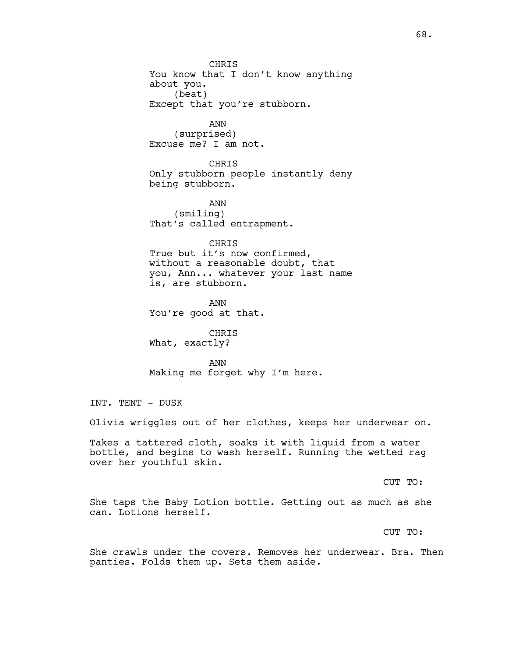CHRIS You know that I don't know anything about you. (beat) Except that you're stubborn.

ANN (surprised) Excuse me? I am not.

CHRIS Only stubborn people instantly deny being stubborn.

ANN (smiling) That's called entrapment.

#### CHRIS

True but it's now confirmed, without a reasonable doubt, that you, Ann... whatever your last name is, are stubborn.

ANN You're good at that.

CHRIS What, exactly?

ANN Making me forget why I'm here.

INT. TENT - DUSK

Olivia wriggles out of her clothes, keeps her underwear on.

Takes a tattered cloth, soaks it with liquid from a water bottle, and begins to wash herself. Running the wetted rag over her youthful skin.

CUT TO:

She taps the Baby Lotion bottle. Getting out as much as she can. Lotions herself.

CUT TO:

She crawls under the covers. Removes her underwear. Bra. Then panties. Folds them up. Sets them aside.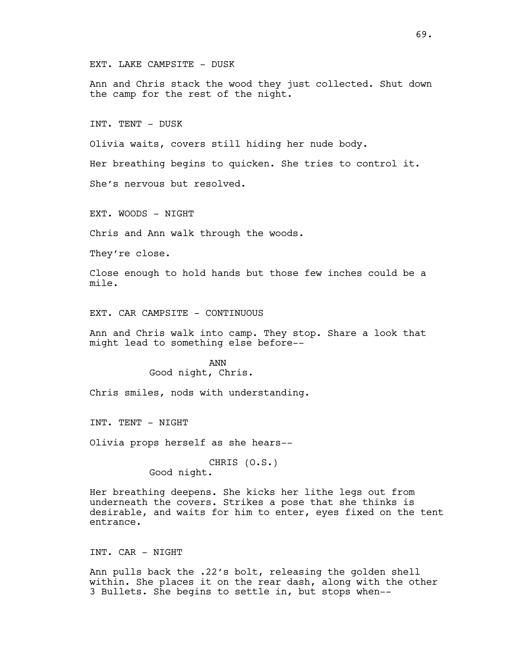## EXT. LAKE CAMPSITE - DUSK

Ann and Chris stack the wood they just collected. Shut down the camp for the rest of the night.

INT. TENT - DUSK

Olivia waits, covers still hiding her nude body.

Her breathing begins to quicken. She tries to control it.

She's nervous but resolved.

EXT. WOODS - NIGHT

Chris and Ann walk through the woods.

They're close.

Close enough to hold hands but those few inches could be a mile.

EXT. CAR CAMPSITE - CONTINUOUS

Ann and Chris walk into camp. They stop. Share a look that might lead to something else before--

> ANN Good night, Chris.

Chris smiles, nods with understanding.

INT. TENT - NIGHT

Olivia props herself as she hears--

CHRIS (O.S.) Good night.

Her breathing deepens. She kicks her lithe legs out from underneath the covers. Strikes a pose that she thinks is desirable, and waits for him to enter, eyes fixed on the tent entrance.

INT. CAR - NIGHT

Ann pulls back the .22's bolt, releasing the golden shell within. She places it on the rear dash, along with the other 3 Bullets. She begins to settle in, but stops when--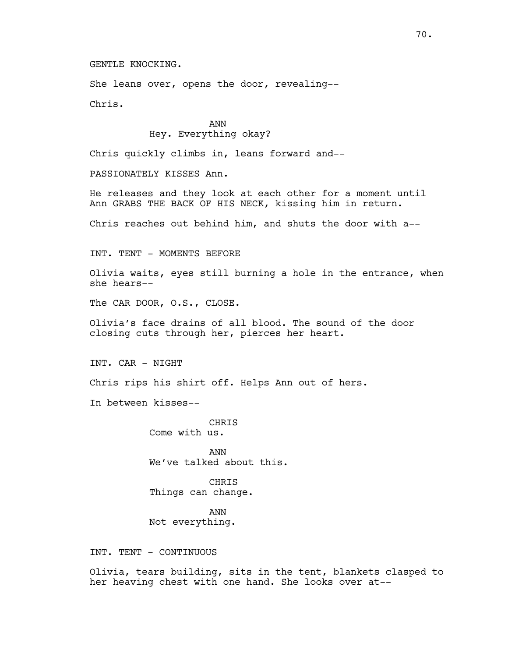GENTLE KNOCKING.

She leans over, opens the door, revealing--

Chris.

ANN Hey. Everything okay?

Chris quickly climbs in, leans forward and--

PASSIONATELY KISSES Ann.

He releases and they look at each other for a moment until Ann GRABS THE BACK OF HIS NECK, kissing him in return.

Chris reaches out behind him, and shuts the door with a--

INT. TENT - MOMENTS BEFORE

Olivia waits, eyes still burning a hole in the entrance, when she hears--

The CAR DOOR, O.S., CLOSE.

Olivia's face drains of all blood. The sound of the door closing cuts through her, pierces her heart.

INT. CAR - NIGHT

Chris rips his shirt off. Helps Ann out of hers.

In between kisses--

**CHRTS** Come with us.

ANN We've talked about this.

**CHRTS** Things can change.

ANN Not everything.

INT. TENT - CONTINUOUS

Olivia, tears building, sits in the tent, blankets clasped to her heaving chest with one hand. She looks over at--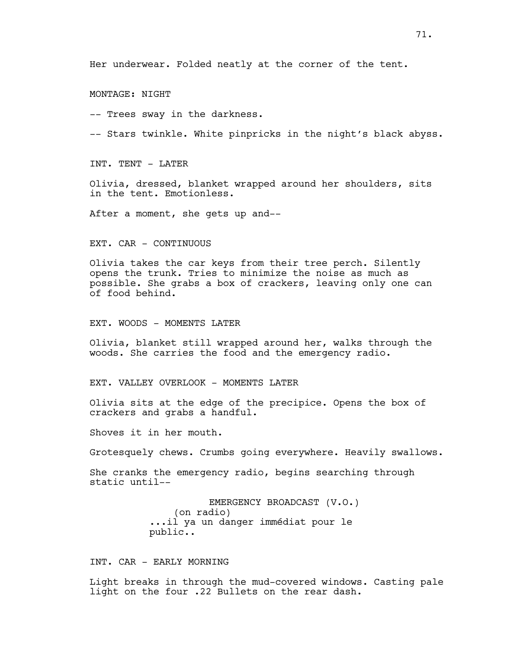Her underwear. Folded neatly at the corner of the tent.

MONTAGE: NIGHT

-- Trees sway in the darkness.

-- Stars twinkle. White pinpricks in the night's black abyss.

INT. TENT - LATER

Olivia, dressed, blanket wrapped around her shoulders, sits in the tent. Emotionless.

After a moment, she gets up and--

EXT. CAR - CONTINUOUS

Olivia takes the car keys from their tree perch. Silently opens the trunk. Tries to minimize the noise as much as possible. She grabs a box of crackers, leaving only one can of food behind.

EXT. WOODS - MOMENTS LATER

Olivia, blanket still wrapped around her, walks through the woods. She carries the food and the emergency radio.

EXT. VALLEY OVERLOOK - MOMENTS LATER

Olivia sits at the edge of the precipice. Opens the box of crackers and grabs a handful.

Shoves it in her mouth.

Grotesquely chews. Crumbs going everywhere. Heavily swallows.

She cranks the emergency radio, begins searching through static until--

> EMERGENCY BROADCAST (V.O.) (on radio) ...il ya un danger immédiat pour le public..

INT. CAR - EARLY MORNING

Light breaks in through the mud-covered windows. Casting pale light on the four .22 Bullets on the rear dash.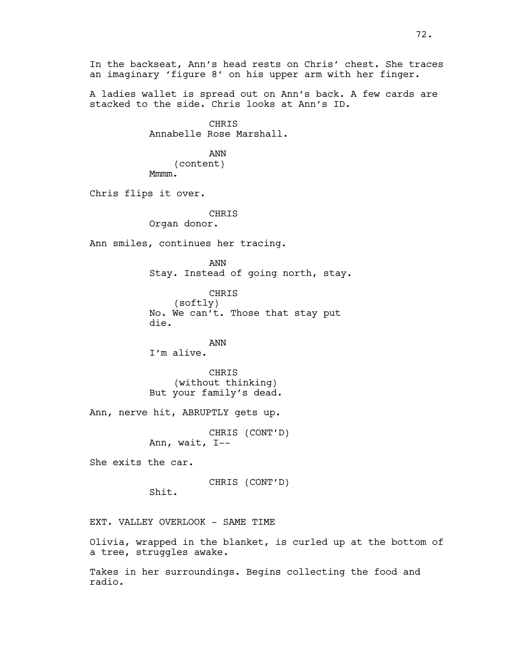In the backseat, Ann's head rests on Chris' chest. She traces an imaginary 'figure 8' on his upper arm with her finger.

A ladies wallet is spread out on Ann's back. A few cards are stacked to the side. Chris looks at Ann's ID.

> CHRIS Annabelle Rose Marshall.

ANN (content) Mmmm.

Chris flips it over.

CHRIS

Organ donor.

Ann smiles, continues her tracing.

ANN Stay. Instead of going north, stay.

CHRIS (softly) No. We can't. Those that stay put die.

ANN I'm alive.

CHRIS (without thinking) But your family's dead.

Ann, nerve hit, ABRUPTLY gets up.

CHRIS (CONT'D) Ann, wait, I--

She exits the car.

CHRIS (CONT'D)

Shit.

EXT. VALLEY OVERLOOK - SAME TIME

Olivia, wrapped in the blanket, is curled up at the bottom of a tree, struggles awake.

Takes in her surroundings. Begins collecting the food and radio.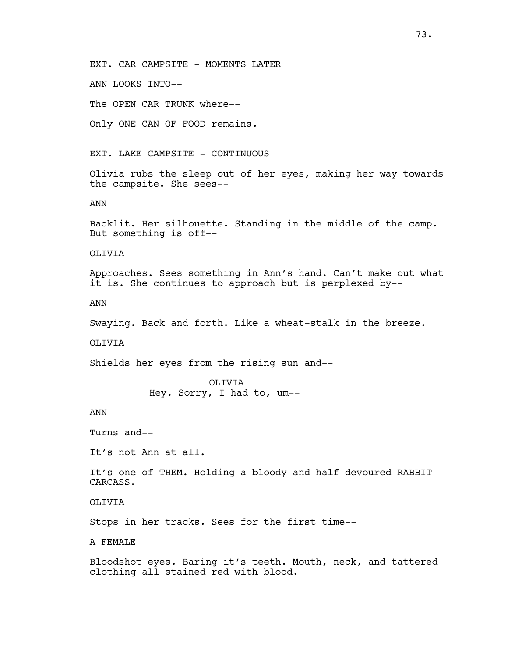EXT. CAR CAMPSITE - MOMENTS LATER

ANN LOOKS INTO--

The OPEN CAR TRUNK where--

Only ONE CAN OF FOOD remains.

EXT. LAKE CAMPSITE - CONTINUOUS

Olivia rubs the sleep out of her eyes, making her way towards the campsite. She sees--

ANN

Backlit. Her silhouette. Standing in the middle of the camp. But something is off--

OLIVIA

Approaches. Sees something in Ann's hand. Can't make out what it is. She continues to approach but is perplexed by--

ANN

Swaying. Back and forth. Like a wheat-stalk in the breeze.

OLIVIA

Shields her eyes from the rising sun and--

OLIVIA Hey. Sorry, I had to, um--

ANN

Turns and--

It's not Ann at all.

It's one of THEM. Holding a bloody and half-devoured RABBIT CARCASS.

OLIVIA

Stops in her tracks. Sees for the first time--

A FEMALE

Bloodshot eyes. Baring it's teeth. Mouth, neck, and tattered clothing all stained red with blood.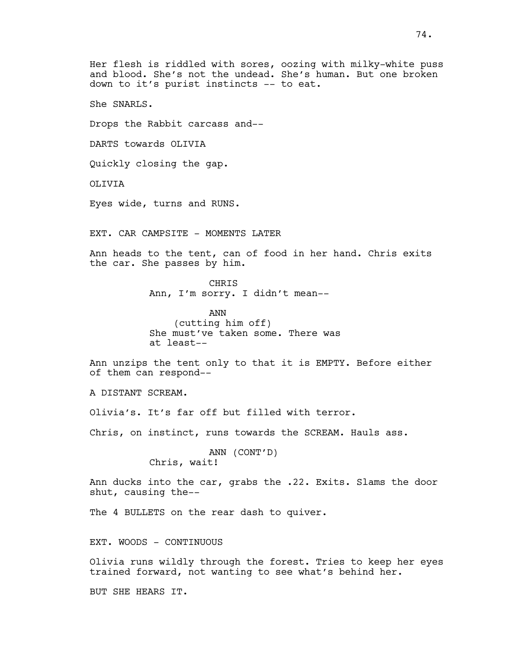Her flesh is riddled with sores, oozing with milky-white puss and blood. She's not the undead. She's human. But one broken down to it's purist instincts -- to eat. She SNARLS. Drops the Rabbit carcass and-- DARTS towards OLIVIA Quickly closing the gap. OLIVIA Eyes wide, turns and RUNS. EXT. CAR CAMPSITE - MOMENTS LATER Ann heads to the tent, can of food in her hand. Chris exits the car. She passes by him. **CHRTS** Ann, I'm sorry. I didn't mean-- ANN (cutting him off) She must've taken some. There was at least-- Ann unzips the tent only to that it is EMPTY. Before either of them can respond-- A DISTANT SCREAM. Olivia's. It's far off but filled with terror. Chris, on instinct, runs towards the SCREAM. Hauls ass. ANN (CONT'D) Chris, wait! Ann ducks into the car, grabs the .22. Exits. Slams the door shut, causing the-- The 4 BULLETS on the rear dash to quiver. EXT. WOODS - CONTINUOUS Olivia runs wildly through the forest. Tries to keep her eyes trained forward, not wanting to see what's behind her.

BUT SHE HEARS IT.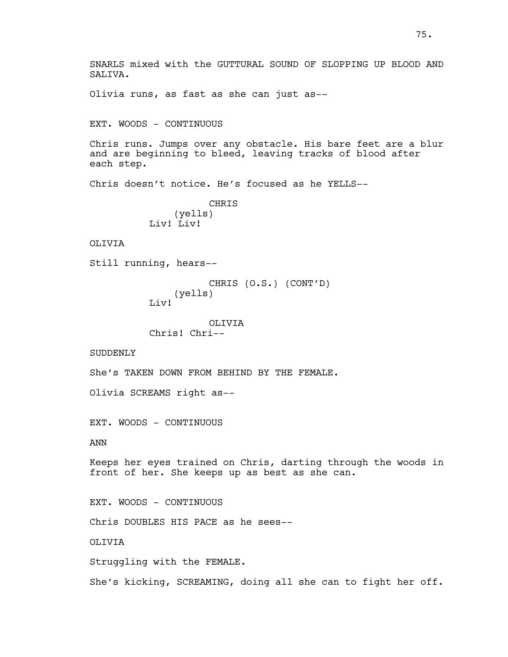EXT. WOODS - CONTINUOUS

Chris runs. Jumps over any obstacle. His bare feet are a blur and are beginning to bleed, leaving tracks of blood after each step.

Chris doesn't notice. He's focused as he YELLS--

CHRIS (yells) Liv! Liv!

OLIVIA

SALIVA.

Still running, hears--

CHRIS (O.S.) (CONT'D) (yells) Liv!

OLIVIA Chris! Chri--

SUDDENLY

She's TAKEN DOWN FROM BEHIND BY THE FEMALE.

Olivia SCREAMS right as--

EXT. WOODS - CONTINUOUS

ANN

Keeps her eyes trained on Chris, darting through the woods in front of her. She keeps up as best as she can.

EXT. WOODS - CONTINUOUS

Chris DOUBLES HIS PACE as he sees--

OLIVIA

Struggling with the FEMALE.

She's kicking, SCREAMING, doing all she can to fight her off.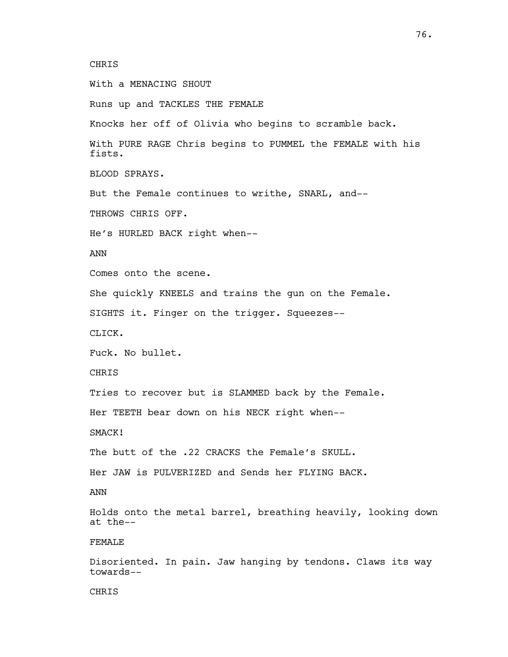#### CHRIS

With a MENACING SHOUT Runs up and TACKLES THE FEMALE Knocks her off of Olivia who begins to scramble back. With PURE RAGE Chris begins to PUMMEL the FEMALE with his fists. BLOOD SPRAYS. But the Female continues to writhe, SNARL, and-- THROWS CHRIS OFF. He's HURLED BACK right when-- ANN Comes onto the scene. She quickly KNEELS and trains the gun on the Female. SIGHTS it. Finger on the trigger. Squeezes-- CLICK. Fuck. No bullet. **CHRTS** Tries to recover but is SLAMMED back by the Female. Her TEETH bear down on his NECK right when-- SMACK! The butt of the .22 CRACKS the Female's SKULL. Her JAW is PULVERIZED and Sends her FLYING BACK. ANN Holds onto the metal barrel, breathing heavily, looking down at the-- FEMALE Disoriented. In pain. Jaw hanging by tendons. Claws its way towards--

**CHRTS**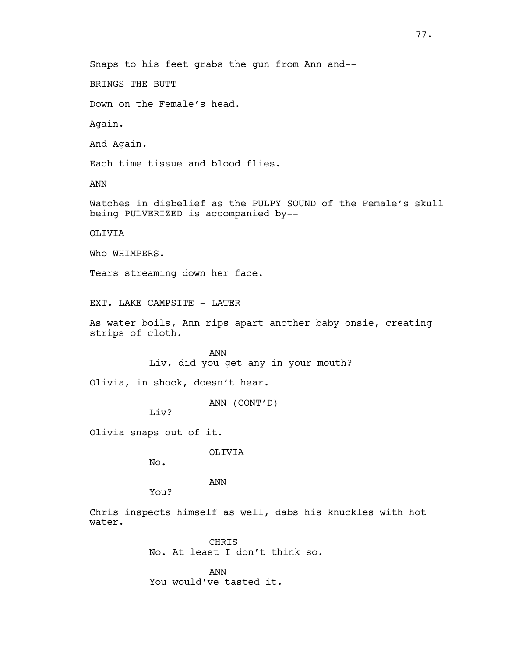BRINGS THE BUTT

Down on the Female's head.

Again.

And Again.

Each time tissue and blood flies.

ANN

Watches in disbelief as the PULPY SOUND of the Female's skull being PULVERIZED is accompanied by--

OLIVIA

Who WHIMPERS.

Tears streaming down her face.

EXT. LAKE CAMPSITE - LATER

As water boils, Ann rips apart another baby onsie, creating strips of cloth.

> ANN Liv, did you get any in your mouth?

Olivia, in shock, doesn't hear.

ANN (CONT'D)

 $Li<sub>v</sub>$ ?

Olivia snaps out of it.

OLIVIA

No.

You?

ANN

Chris inspects himself as well, dabs his knuckles with hot water.

> **CHRTS** No. At least I don't think so.

ANN You would've tasted it.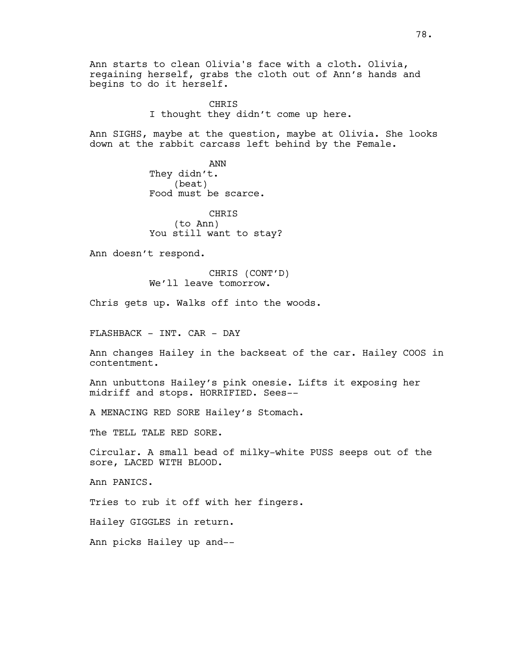Ann starts to clean Olivia's face with a cloth. Olivia, regaining herself, grabs the cloth out of Ann's hands and begins to do it herself.

> CHRIS I thought they didn't come up here.

Ann SIGHS, maybe at the question, maybe at Olivia. She looks down at the rabbit carcass left behind by the Female.

> ANN They didn't. (beat) Food must be scarce.

CHRIS (to Ann) You still want to stay?

Ann doesn't respond.

CHRIS (CONT'D) We'll leave tomorrow.

Chris gets up. Walks off into the woods.

FLASHBACK - INT. CAR - DAY

Ann changes Hailey in the backseat of the car. Hailey COOS in contentment.

Ann unbuttons Hailey's pink onesie. Lifts it exposing her midriff and stops. HORRIFIED. Sees--

A MENACING RED SORE Hailey's Stomach.

The TELL TALE RED SORE.

Circular. A small bead of milky-white PUSS seeps out of the sore, LACED WITH BLOOD.

Ann PANICS.

Tries to rub it off with her fingers.

Hailey GIGGLES in return.

Ann picks Hailey up and--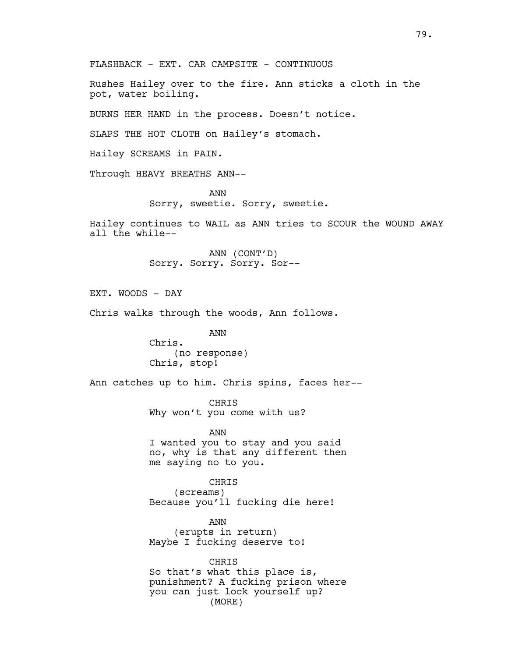FLASHBACK - EXT. CAR CAMPSITE - CONTINUOUS

Rushes Hailey over to the fire. Ann sticks a cloth in the pot, water boiling.

BURNS HER HAND in the process. Doesn't notice.

SLAPS THE HOT CLOTH on Hailey's stomach.

Hailey SCREAMS in PAIN.

Through HEAVY BREATHS ANN--

ANN Sorry, sweetie. Sorry, sweetie.

Hailey continues to WAIL as ANN tries to SCOUR the WOUND AWAY all the while--

> ANN (CONT'D) Sorry. Sorry. Sorry. Sor--

EXT. WOODS - DAY

Chris walks through the woods, Ann follows.

ANN Chris. (no response) Chris, stop!

Ann catches up to him. Chris spins, faces her--

CHRIS Why won't you come with us?

ANN I wanted you to stay and you said no, why is that any different then me saying no to you.

CHRIS (screams) Because you'll fucking die here!

ANN (erupts in return) Maybe I fucking deserve to!

CHRIS So that's what this place is, punishment? A fucking prison where you can just lock yourself up? (MORE)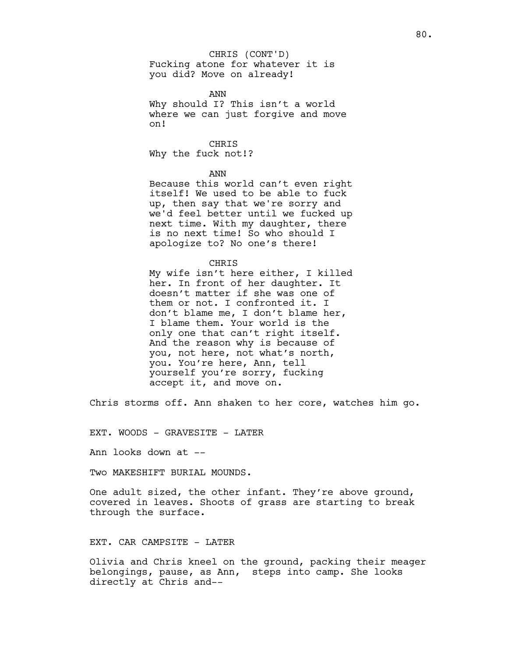### Fucking atone for whatever it is you did? Move on already! CHRIS (CONT'D)

ANN Why should I? This isn't a world where we can just forgive and move on!

CHRIS Why the fuck not!?

ANN

Because this world can't even right itself! We used to be able to fuck up, then say that we're sorry and we'd feel better until we fucked up next time. With my daughter, there is no next time! So who should I apologize to? No one's there!

CHRIS

My wife isn't here either, I killed her. In front of her daughter. It doesn't matter if she was one of them or not. I confronted it. I don't blame me, I don't blame her, I blame them. Your world is the only one that can't right itself. And the reason why is because of you, not here, not what's north, you. You're here, Ann, tell yourself you're sorry, fucking accept it, and move on.

Chris storms off. Ann shaken to her core, watches him go.

EXT. WOODS - GRAVESITE - LATER

Ann looks down at --

Two MAKESHIFT BURIAL MOUNDS.

One adult sized, the other infant. They're above ground, covered in leaves. Shoots of grass are starting to break through the surface.

EXT. CAR CAMPSITE - LATER

Olivia and Chris kneel on the ground, packing their meager belongings, pause, as Ann, steps into camp. She looks directly at Chris and--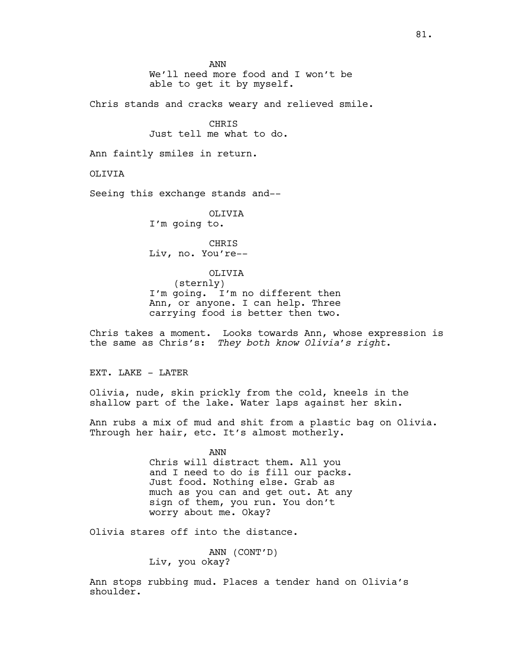ANN

We'll need more food and I won't be able to get it by myself.

Chris stands and cracks weary and relieved smile.

CHRIS Just tell me what to do.

Ann faintly smiles in return.

OLIVIA

Seeing this exchange stands and--

OLIVIA I'm going to.

CHRIS Liv, no. You're--

OLIVIA

(sternly) I'm going. I'm no different then Ann, or anyone. I can help. Three carrying food is better then two.

Chris takes a moment. Looks towards Ann, whose expression is the same as Chris's: *They both know Olivia's right*.

EXT. LAKE - LATER

Olivia, nude, skin prickly from the cold, kneels in the shallow part of the lake. Water laps against her skin.

Ann rubs a mix of mud and shit from a plastic bag on Olivia. Through her hair, etc. It's almost motherly.

> ANN Chris will distract them. All you and I need to do is fill our packs. Just food. Nothing else. Grab as much as you can and get out. At any sign of them, you run. You don't worry about me. Okay?

Olivia stares off into the distance.

ANN (CONT'D) Liv, you okay?

Ann stops rubbing mud. Places a tender hand on Olivia's shoulder.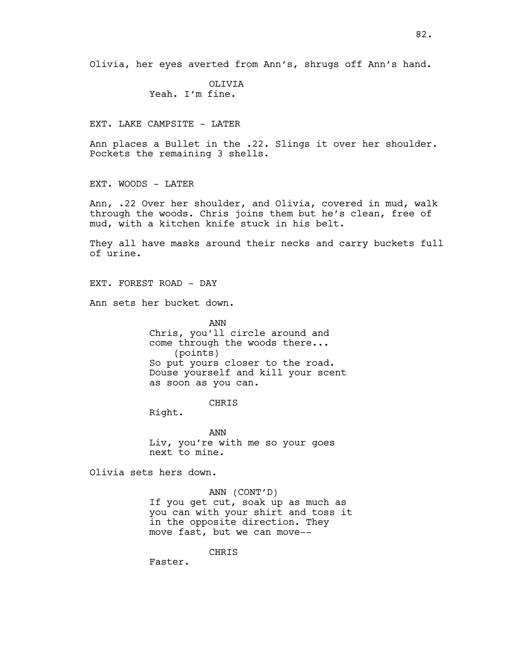Olivia, her eyes averted from Ann's, shrugs off Ann's hand.

OLIVIA Yeah. I'm fine.

EXT. LAKE CAMPSITE - LATER

Ann places a Bullet in the .22. Slings it over her shoulder. Pockets the remaining 3 shells.

EXT. WOODS - LATER

Ann, .22 Over her shoulder, and Olivia, covered in mud, walk through the woods. Chris joins them but he's clean, free of mud, with a kitchen knife stuck in his belt.

They all have masks around their necks and carry buckets full of urine.

EXT. FOREST ROAD - DAY

Ann sets her bucket down.

ANN Chris, you'll circle around and come through the woods there... (points) So put yours closer to the road. Douse yourself and kill your scent as soon as you can.

CHRIS

Right.

ANN Liv, you're with me so your goes next to mine.

Olivia sets hers down.

ANN (CONT'D) If you get cut, soak up as much as you can with your shirt and toss it in the opposite direction. They move fast, but we can move--

CHRIS

Faster.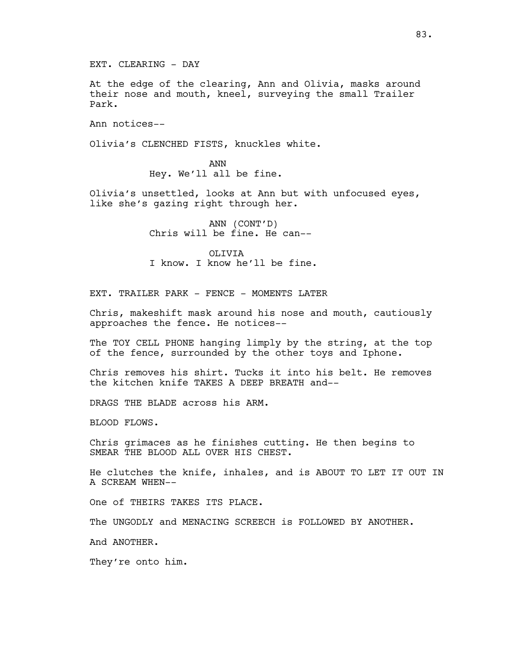EXT. CLEARING - DAY

At the edge of the clearing, Ann and Olivia, masks around their nose and mouth, kneel, surveying the small Trailer Park.

Ann notices--

Olivia's CLENCHED FISTS, knuckles white.

ANN Hey. We'll all be fine.

Olivia's unsettled, looks at Ann but with unfocused eyes, like she's gazing right through her.

> ANN (CONT'D) Chris will be fine. He can--

OLIVIA I know. I know he'll be fine.

EXT. TRAILER PARK - FENCE - MOMENTS LATER

Chris, makeshift mask around his nose and mouth, cautiously approaches the fence. He notices--

The TOY CELL PHONE hanging limply by the string, at the top of the fence, surrounded by the other toys and Iphone.

Chris removes his shirt. Tucks it into his belt. He removes the kitchen knife TAKES A DEEP BREATH and--

DRAGS THE BLADE across his ARM.

BLOOD FLOWS.

Chris grimaces as he finishes cutting. He then begins to SMEAR THE BLOOD ALL OVER HIS CHEST.

He clutches the knife, inhales, and is ABOUT TO LET IT OUT IN A SCREAM WHEN--

One of THEIRS TAKES ITS PLACE.

The UNGODLY and MENACING SCREECH is FOLLOWED BY ANOTHER.

And ANOTHER.

They're onto him.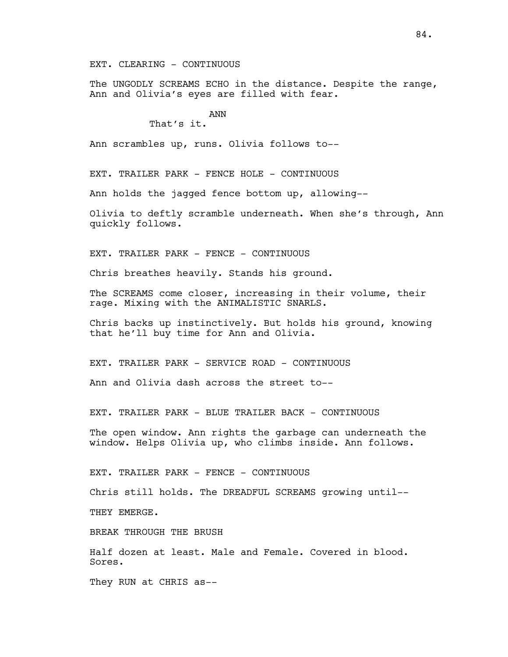EXT. CLEARING - CONTINUOUS

The UNGODLY SCREAMS ECHO in the distance. Despite the range, Ann and Olivia's eyes are filled with fear.

# ANN

### That's it.

Ann scrambles up, runs. Olivia follows to--

EXT. TRAILER PARK - FENCE HOLE - CONTINUOUS

Ann holds the jagged fence bottom up, allowing--

Olivia to deftly scramble underneath. When she's through, Ann quickly follows.

EXT. TRAILER PARK - FENCE - CONTINUOUS

Chris breathes heavily. Stands his ground.

The SCREAMS come closer, increasing in their volume, their rage. Mixing with the ANIMALISTIC SNARLS.

Chris backs up instinctively. But holds his ground, knowing that he'll buy time for Ann and Olivia.

EXT. TRAILER PARK - SERVICE ROAD - CONTINUOUS

Ann and Olivia dash across the street to--

EXT. TRAILER PARK - BLUE TRAILER BACK - CONTINUOUS

The open window. Ann rights the garbage can underneath the window. Helps Olivia up, who climbs inside. Ann follows.

EXT. TRAILER PARK - FENCE - CONTINUOUS

Chris still holds. The DREADFUL SCREAMS growing until--

THEY EMERGE.

BREAK THROUGH THE BRUSH

Half dozen at least. Male and Female. Covered in blood. Sores.

They RUN at CHRIS as--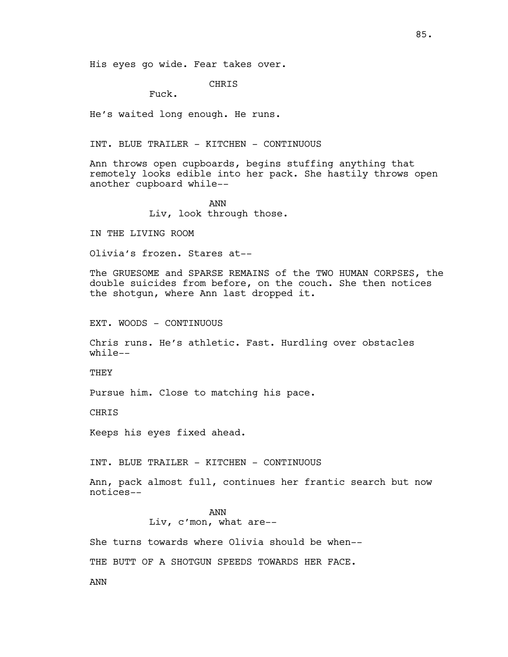His eyes go wide. Fear takes over.

# **CHRTS**

Fuck.

He's waited long enough. He runs.

INT. BLUE TRAILER - KITCHEN - CONTINUOUS

Ann throws open cupboards, begins stuffing anything that remotely looks edible into her pack. She hastily throws open another cupboard while--

> ANN Liv, look through those.

IN THE LIVING ROOM

Olivia's frozen. Stares at--

The GRUESOME and SPARSE REMAINS of the TWO HUMAN CORPSES, the double suicides from before, on the couch. She then notices the shotgun, where Ann last dropped it.

EXT. WOODS - CONTINUOUS

Chris runs. He's athletic. Fast. Hurdling over obstacles while--

**THEY** 

Pursue him. Close to matching his pace.

**CHRTS** 

Keeps his eyes fixed ahead.

INT. BLUE TRAILER - KITCHEN - CONTINUOUS

Ann, pack almost full, continues her frantic search but now notices--

> ANN Liv, c'mon, what are--

She turns towards where Olivia should be when--

THE BUTT OF A SHOTGUN SPEEDS TOWARDS HER FACE.

ANN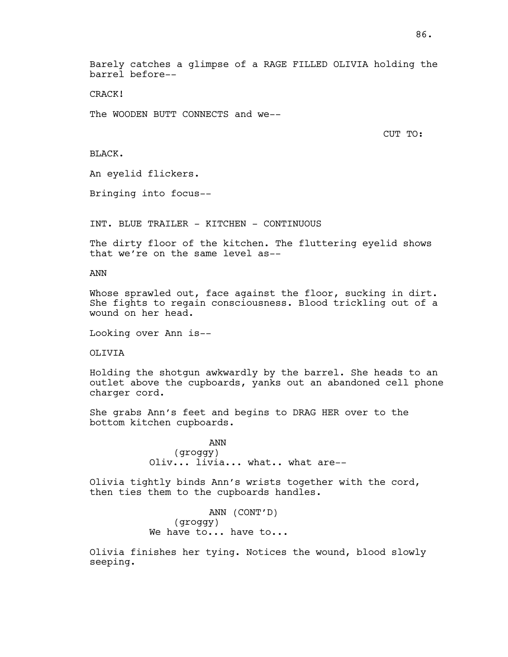Barely catches a glimpse of a RAGE FILLED OLIVIA holding the barrel before--

CRACK!

The WOODEN BUTT CONNECTS and we--

CUT TO:

BLACK.

An eyelid flickers.

Bringing into focus--

INT. BLUE TRAILER - KITCHEN - CONTINUOUS

The dirty floor of the kitchen. The fluttering eyelid shows that we're on the same level as--

ANN

Whose sprawled out, face against the floor, sucking in dirt. She fights to regain consciousness. Blood trickling out of a wound on her head.

Looking over Ann is--

OLTVTA

Holding the shotgun awkwardly by the barrel. She heads to an outlet above the cupboards, yanks out an abandoned cell phone charger cord.

She grabs Ann's feet and begins to DRAG HER over to the bottom kitchen cupboards.

> ANN (groggy) Oliv... livia... what.. what are--

Olivia tightly binds Ann's wrists together with the cord, then ties them to the cupboards handles.

> ANN (CONT'D) (groggy) We have to... have to...

Olivia finishes her tying. Notices the wound, blood slowly seeping.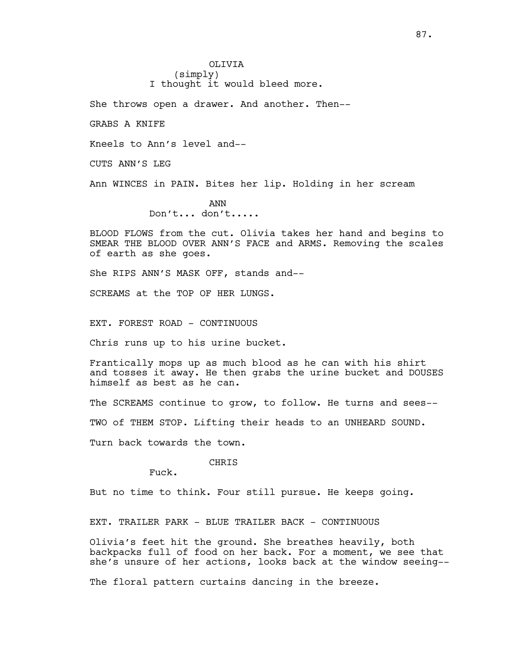**OLIVIA** (simply) I thought it would bleed more.

She throws open a drawer. And another. Then--

GRABS A KNIFE

Kneels to Ann's level and--

CUTS ANN'S LEG

Ann WINCES in PAIN. Bites her lip. Holding in her scream

ANN Don't... don't.....

BLOOD FLOWS from the cut. Olivia takes her hand and begins to SMEAR THE BLOOD OVER ANN'S FACE and ARMS. Removing the scales of earth as she goes.

She RIPS ANN'S MASK OFF, stands and--

SCREAMS at the TOP OF HER LUNGS.

EXT. FOREST ROAD - CONTINUOUS

Chris runs up to his urine bucket.

Frantically mops up as much blood as he can with his shirt and tosses it away. He then grabs the urine bucket and DOUSES himself as best as he can.

The SCREAMS continue to grow, to follow. He turns and sees--

TWO of THEM STOP. Lifting their heads to an UNHEARD SOUND.

Turn back towards the town.

CHRIS

Fuck.

But no time to think. Four still pursue. He keeps going.

EXT. TRAILER PARK - BLUE TRAILER BACK - CONTINUOUS

Olivia's feet hit the ground. She breathes heavily, both backpacks full of food on her back. For a moment, we see that she's unsure of her actions, looks back at the window seeing--

The floral pattern curtains dancing in the breeze.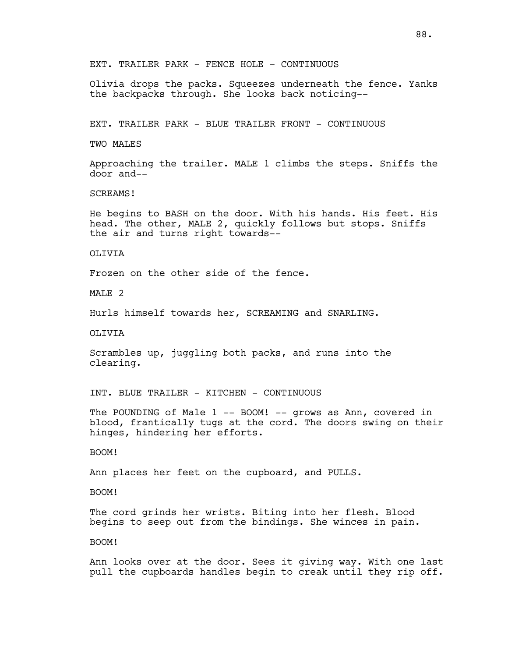EXT. TRAILER PARK - FENCE HOLE - CONTINUOUS

Olivia drops the packs. Squeezes underneath the fence. Yanks the backpacks through. She looks back noticing--

EXT. TRAILER PARK - BLUE TRAILER FRONT - CONTINUOUS

TWO MALES

Approaching the trailer. MALE 1 climbs the steps. Sniffs the door and--

SCREAMS!

He begins to BASH on the door. With his hands. His feet. His head. The other, MALE 2, quickly follows but stops. Sniffs the air and turns right towards--

OLIVIA

Frozen on the other side of the fence.

MALE 2

Hurls himself towards her, SCREAMING and SNARLING.

OLIVIA

Scrambles up, juggling both packs, and runs into the clearing.

INT. BLUE TRAILER - KITCHEN - CONTINUOUS

The POUNDING of Male 1 -- BOOM! -- grows as Ann, covered in blood, frantically tugs at the cord. The doors swing on their hinges, hindering her efforts.

BOOM!

Ann places her feet on the cupboard, and PULLS.

BOOM!

The cord grinds her wrists. Biting into her flesh. Blood begins to seep out from the bindings. She winces in pain.

BOOM!

Ann looks over at the door. Sees it giving way. With one last pull the cupboards handles begin to creak until they rip off.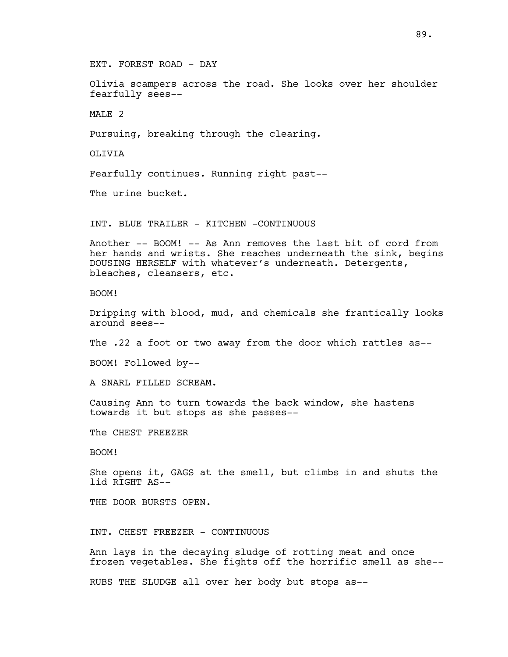EXT. FOREST ROAD - DAY

Olivia scampers across the road. She looks over her shoulder fearfully sees--

MALE 2

Pursuing, breaking through the clearing.

**OLIVIA** 

Fearfully continues. Running right past--

The urine bucket.

INT. BLUE TRAILER - KITCHEN -CONTINUOUS

Another -- BOOM! -- As Ann removes the last bit of cord from her hands and wrists. She reaches underneath the sink, begins DOUSING HERSELF with whatever's underneath. Detergents, bleaches, cleansers, etc.

BOOM!

Dripping with blood, mud, and chemicals she frantically looks around sees--

The .22 a foot or two away from the door which rattles as--

BOOM! Followed by--

A SNARL FILLED SCREAM.

Causing Ann to turn towards the back window, she hastens towards it but stops as she passes--

The CHEST FREEZER

BOOM!

She opens it, GAGS at the smell, but climbs in and shuts the lid RIGHT AS--

THE DOOR BURSTS OPEN.

INT. CHEST FREEZER - CONTINUOUS

Ann lays in the decaying sludge of rotting meat and once frozen vegetables. She fights off the horrific smell as she--

RUBS THE SLUDGE all over her body but stops as--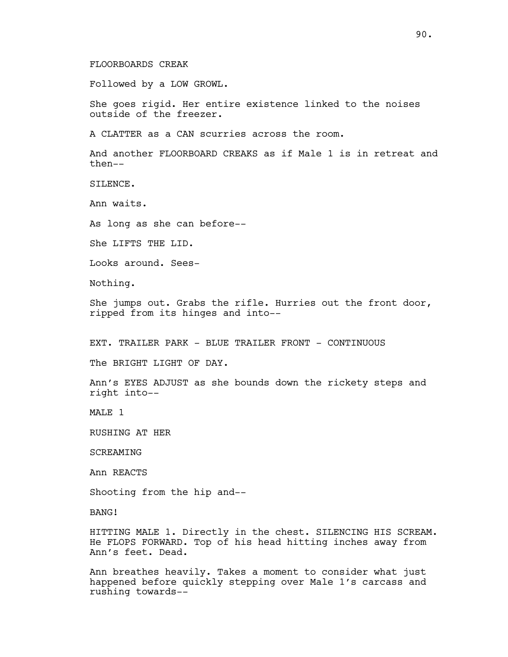FLOORBOARDS CREAK

Followed by a LOW GROWL.

She goes rigid. Her entire existence linked to the noises outside of the freezer.

A CLATTER as a CAN scurries across the room.

And another FLOORBOARD CREAKS as if Male 1 is in retreat and then--

SILENCE.

Ann waits.

As long as she can before--

She LIFTS THE LID.

Looks around. Sees-

Nothing.

She jumps out. Grabs the rifle. Hurries out the front door, ripped from its hinges and into--

EXT. TRAILER PARK - BLUE TRAILER FRONT - CONTINUOUS

The BRIGHT LIGHT OF DAY.

Ann's EYES ADJUST as she bounds down the rickety steps and right into--

MALE<sub>1</sub>

RUSHING AT HER

SCREAMING

Ann REACTS

Shooting from the hip and--

BANG!

HITTING MALE 1. Directly in the chest. SILENCING HIS SCREAM. He FLOPS FORWARD. Top of his head hitting inches away from Ann's feet. Dead.

Ann breathes heavily. Takes a moment to consider what just happened before quickly stepping over Male 1's carcass and rushing towards--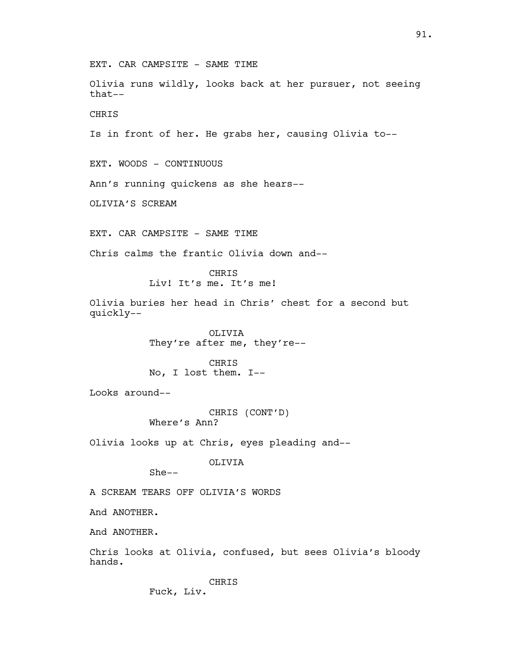EXT. CAR CAMPSITE - SAME TIME

Olivia runs wildly, looks back at her pursuer, not seeing that--

CHRIS

Is in front of her. He grabs her, causing Olivia to--

EXT. WOODS - CONTINUOUS

Ann's running quickens as she hears--

OLIVIA'S SCREAM

EXT. CAR CAMPSITE - SAME TIME

Chris calms the frantic Olivia down and--

CHRIS Liv! It's me. It's me!

Olivia buries her head in Chris' chest for a second but quickly--

> OLIVIA They're after me, they're--

CHRIS No, I lost them. I--

Looks around--

CHRIS (CONT'D) Where's Ann?

Olivia looks up at Chris, eyes pleading and--

OLIVIA

She--

A SCREAM TEARS OFF OLIVIA'S WORDS

And ANOTHER.

And ANOTHER.

Chris looks at Olivia, confused, but sees Olivia's bloody hands.

> CHRIS Fuck, Liv.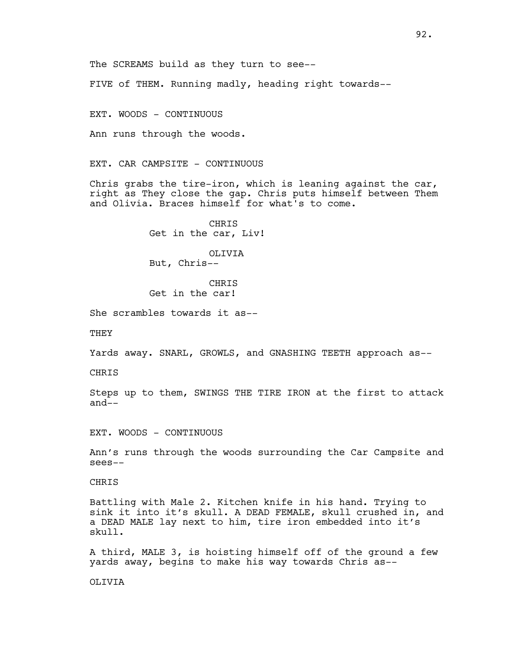FIVE of THEM. Running madly, heading right towards--

EXT. WOODS - CONTINUOUS

Ann runs through the woods.

EXT. CAR CAMPSITE - CONTINUOUS

Chris grabs the tire-iron, which is leaning against the car, right as They close the gap. Chris puts himself between Them and Olivia. Braces himself for what's to come.

> CHRIS Get in the car, Liv!

OLIVIA But, Chris--

**CHRIS** Get in the car!

She scrambles towards it as--

THEY

Yards away. SNARL, GROWLS, and GNASHING TEETH approach as--

**CHRTS** 

Steps up to them, SWINGS THE TIRE IRON at the first to attack and--

EXT. WOODS - CONTINUOUS

Ann's runs through the woods surrounding the Car Campsite and sees--

**CHRTS** 

Battling with Male 2. Kitchen knife in his hand. Trying to sink it into it's skull. A DEAD FEMALE, skull crushed in, and a DEAD MALE lay next to him, tire iron embedded into it's skull.

A third, MALE 3, is hoisting himself off of the ground a few yards away, begins to make his way towards Chris as--

OLIVIA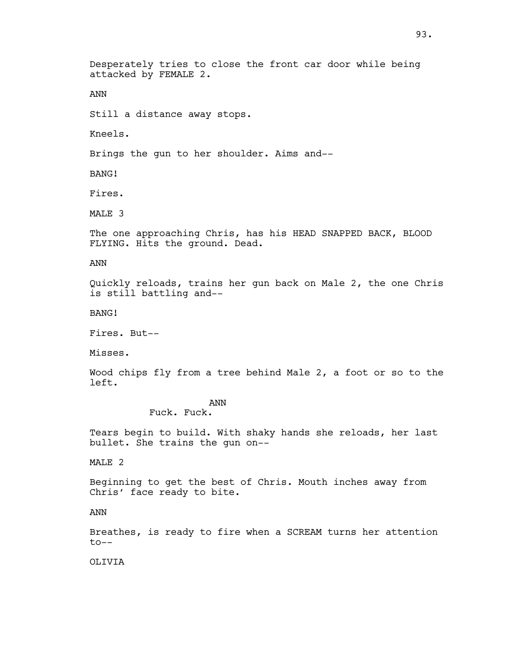Desperately tries to close the front car door while being attacked by FEMALE 2.

ANN

Still a distance away stops.

Kneels.

Brings the gun to her shoulder. Aims and--

BANG!

Fires.

MALE 3

The one approaching Chris, has his HEAD SNAPPED BACK, BLOOD FLYING. Hits the ground. Dead.

ANN

Quickly reloads, trains her gun back on Male 2, the one Chris is still battling and--

BANG!

Fires. But--

Misses.

Wood chips fly from a tree behind Male 2, a foot or so to the left.

ANN

Fuck. Fuck.

Tears begin to build. With shaky hands she reloads, her last bullet. She trains the gun on--

MALE 2

Beginning to get the best of Chris. Mouth inches away from Chris' face ready to bite.

ANN

Breathes, is ready to fire when a SCREAM turns her attention to--

OLIVIA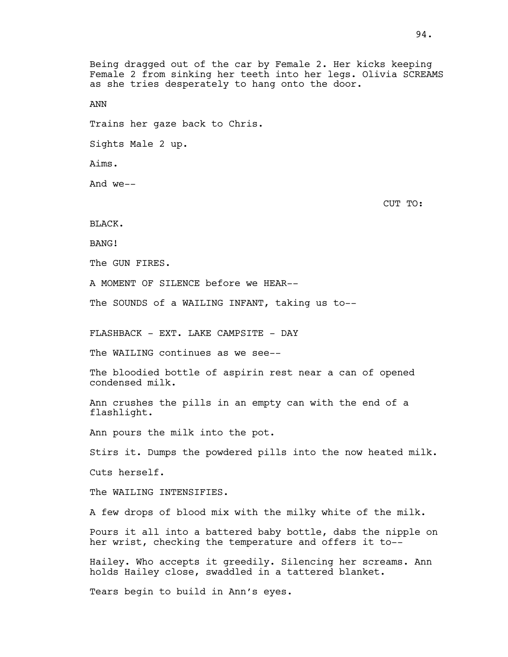Being dragged out of the car by Female 2. Her kicks keeping Female 2 from sinking her teeth into her legs. Olivia SCREAMS as she tries desperately to hang onto the door. ANN Trains her gaze back to Chris. Sights Male 2 up. Aims. And we-- CUT TO: BLACK. BANG! The GUN FIRES. A MOMENT OF SILENCE before we HEAR-- The SOUNDS of a WAILING INFANT, taking us to-- FLASHBACK - EXT. LAKE CAMPSITE - DAY The WAILING continues as we see-- The bloodied bottle of aspirin rest near a can of opened condensed milk. Ann crushes the pills in an empty can with the end of a flashlight. Ann pours the milk into the pot. Stirs it. Dumps the powdered pills into the now heated milk. Cuts herself. The WAILING INTENSIFIES. A few drops of blood mix with the milky white of the milk. Pours it all into a battered baby bottle, dabs the nipple on her wrist, checking the temperature and offers it to-- Hailey. Who accepts it greedily. Silencing her screams. Ann holds Hailey close, swaddled in a tattered blanket. Tears begin to build in Ann's eyes.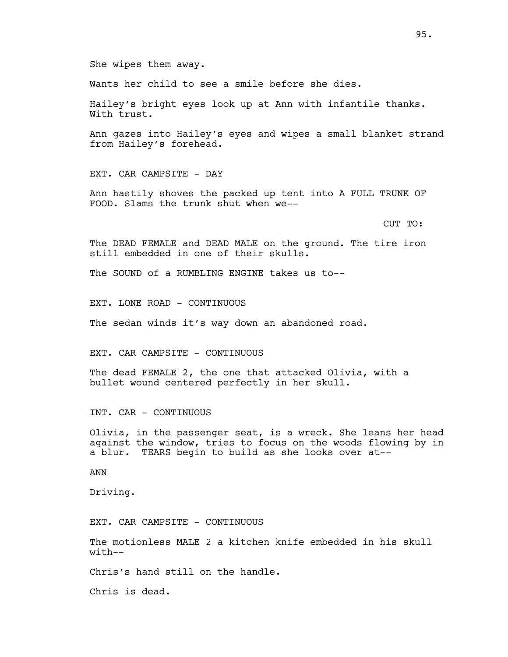Wants her child to see a smile before she dies.

Hailey's bright eyes look up at Ann with infantile thanks. With trust.

Ann gazes into Hailey's eyes and wipes a small blanket strand from Hailey's forehead.

EXT. CAR CAMPSITE - DAY

Ann hastily shoves the packed up tent into A FULL TRUNK OF FOOD. Slams the trunk shut when we--

CUT TO:

The DEAD FEMALE and DEAD MALE on the ground. The tire iron still embedded in one of their skulls.

The SOUND of a RUMBLING ENGINE takes us to--

EXT. LONE ROAD - CONTINUOUS

The sedan winds it's way down an abandoned road.

EXT. CAR CAMPSITE - CONTINUOUS

The dead FEMALE 2, the one that attacked Olivia, with a bullet wound centered perfectly in her skull.

INT. CAR - CONTINUOUS

Olivia, in the passenger seat, is a wreck. She leans her head against the window, tries to focus on the woods flowing by in a blur. TEARS begin to build as she looks over at--

ANN

Driving.

EXT. CAR CAMPSITE - CONTINUOUS

The motionless MALE 2 a kitchen knife embedded in his skull with--

Chris's hand still on the handle.

Chris is dead.